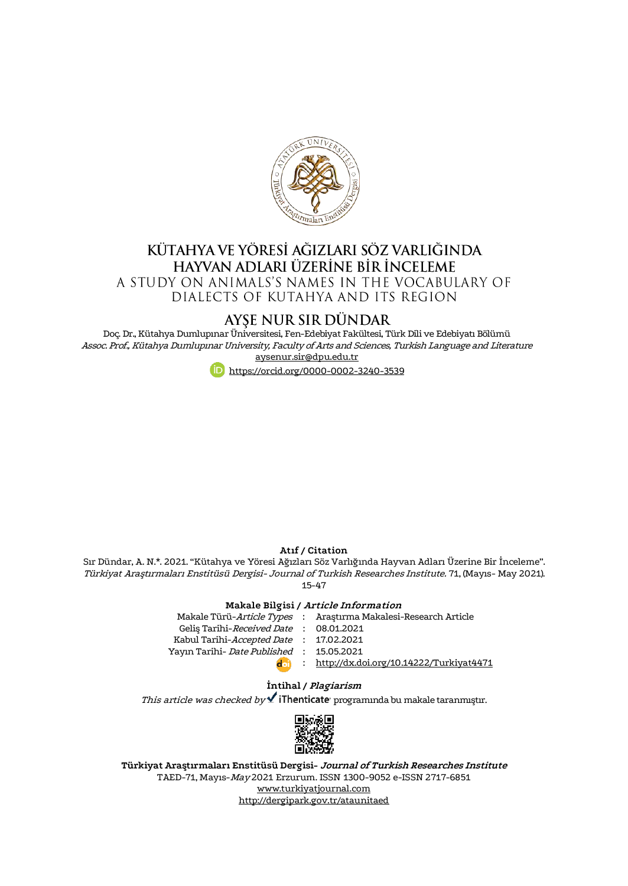

# KÜTAHYA VE YÖRESİ AĞIZLARI SÖZ VARLIĞINDA HAYVAN ADLARI ÜZERİNE BİR İNCELEME A STUDY ON ANIMALS'S NAMES IN THE VOCABULARY OF

DIALECTS OF KUTAHYA AND ITS REGION

# AYSE NUR SIR DÜNDAR

Doç. Dr., Kütahya Dumlupınar Üniversitesi, Fen-Edebiyat Fakültesi, Türk Dili ve Edebiyatı Bölümü Assoc. Prof., Kütahya Dumlupınar University, Faculty of Arts and Sciences, Turkish Language and Literature [aysenur.sir@dpu.edu.tr](mailto:aysenur.sir@dpu.edu.tr)



#### **Atıf / Citation**

Sır Dündar, A. N.\*. 2021. "Kütahya ve Yöresi Ağızları Söz Varlığında Hayvan Adları Üzerine Bir İnceleme". Türkiyat Araştırmaları Enstitüsü Dergisi- Journal of Turkish Researches Institute. 71, (Mayıs- May 2021). 15-47

### **Makale Bilgisi / Article Information**

|                                          | Makale Türü-Article Types : Araştırma Makalesi-Research Article |
|------------------------------------------|-----------------------------------------------------------------|
| Gelis Tarihi-Received Date : 08.01.2021  |                                                                 |
| Kabul Tarihi-Accepted Date : 17.02.2021  |                                                                 |
| Yayın Tarihi- Date Published: 15.05.2021 |                                                                 |
| doi)                                     | : http://dx.doi.org/10.14222/Turkiyat4471                       |
|                                          |                                                                 |

### **İntihal / Plagiarism**

This article was checked by  $\checkmark$  iThenticate programında bu makale taranmıştır.



**Türkiyat Araştırmaları Enstitüsü Dergisi- Journal of Turkish Researches Institute** TAED-71, Mayıs-May 2021 Erzurum. ISSN 1300-9052 e-ISSN 2717-6851 [www.turkiyatjournal.com](http://www.turkiyatjournal.com/) <http://dergipark.gov.tr/ataunitaed>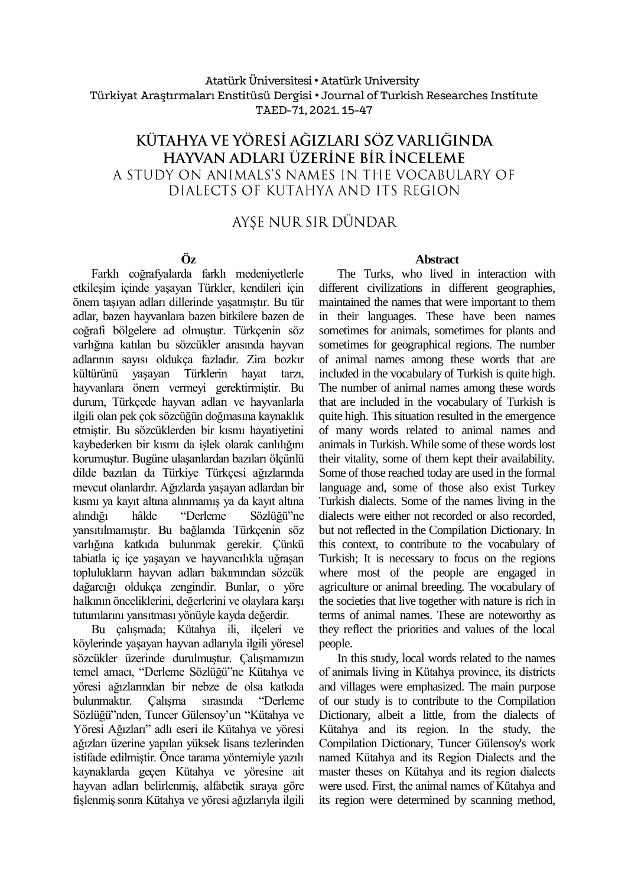### Atatürk Üniversitesi• Atatürk University Türkiyat Araştırmaları Enstitüsü Dergisi • Journal of Turkish Researches Institute TAED-71, 2021. 15-47

# KÜTAHYA VE YÖRESİ AĞIZLARI SÖZ VARLIĞINDA hayvan adları üzerine bir inceleme A STUDY ON ANIMALS'S NAMES IN THE VOCABULARY OF DIALECTS OF KUTAHYA AND ITS REGION

# AYSE NUR SIR DÜNDAR

# **Öz**

Farklı coğrafyalarda farklı medeniyetlerle etkileşim içinde yaşayan Türkler, kendileri için önem taşıyan adları dillerinde yaşatmıştır. Bu tür adlar, bazen hayvanlara bazen bitkilere bazen de coğrafi bölgelere ad olmuştur. Türkçenin söz varlığına katılan bu sözcükler arasında hayvan adlarının sayısı oldukça fazladır. Zira bozkır kültürünü yaşayan Türklerin hayat tarzı, hayvanlara önem vermeyi gerektirmiştir. Bu durum, Türkçede hayvan adları ve hayvanlarla ilgili olan pek çok sözcüğün doğmasına kaynaklık etmiştir. Bu sözcüklerden bir kısmı hayatiyetini kaybederken bir kısmı da işlek olarak canlılığını korumuştur. Bugüne ulaşanlardan bazıları ölçünlü dilde bazıları da Türkiye Türkçesi ağızlarında mevcut olanlardır. Ağızlarda yaşayan adlardan bir kısmı ya kayıt altına alınmamış ya da kayıt altına alındığı hâlde "Derleme Sözlüğü"ne yansıtılmamıştır. Bu bağlamda Türkçenin söz varlığına katkıda bulunmak gerekir. Çünkü tabiatla iç içe yaşayan ve hayvancılıkla uğraşan toplulukların hayvan adları bakımından sözcük dağarcığı oldukça zengindir. Bunlar, o yöre halkının önceliklerini, değerlerini ve olaylara karşı tutumlarını yansıtması yönüyle kayda değerdir.

Bu çalışmada; Kütahya ili, ilçeleri ve köylerinde yaşayan hayvan adlarıyla ilgili yöresel sözcükler üzerinde durulmuştur. Çalışmamızın temel amacı, "Derleme Sözlüğü"ne Kütahya ve yöresi ağızlarından bir nebze de olsa katkıda bulunmaktır. Çalışma sırasında "Derleme Sözlüğü"nden, Tuncer Gülensoy'un "Kütahya ve Yöresi Ağızları" adlı eseri ile Kütahya ve yöresi ağızları üzerine yapılan yüksek lisans tezlerinden istifade edilmiştir. Önce tarama yöntemiyle yazılı kaynaklarda geçen Kütahya ve yöresine ait hayvan adları belirlenmiş, alfabetik sıraya göre fişlenmiş sonra Kütahya ve yöresi ağızlarıyla ilgili

### **Abstract**

The Turks, who lived in interaction with different civilizations in different geographies, maintained the names that were important to them in their languages. These have been names sometimes for animals, sometimes for plants and sometimes for geographical regions. The number of animal names among these words that are included in the vocabulary of Turkish is quite high. The number of animal names among these words that are included in the vocabulary of Turkish is quite high. This situation resulted in the emergence of many words related to animal names and animals in Turkish. While some of these words lost their vitality, some of them kept their availability. Some of those reached today are used in the formal language and, some of those also exist Turkey Turkish dialects. Some of the names living in the dialects were either not recorded or also recorded, but not reflected in the Compilation Dictionary. In this context, to contribute to the vocabulary of Turkish; It is necessary to focus on the regions where most of the people are engaged in agriculture or animal breeding. The vocabulary of the societies that live together with nature is rich in terms of animal names. These are noteworthy as they reflect the priorities and values of the local people.

In this study, local words related to the names of animals living in Kütahya province, its districts and villages were emphasized. The main purpose of our study is to contribute to the Compilation Dictionary, albeit a little, from the dialects of Kütahya and its region. In the study, the Compilation Dictionary, Tuncer Gülensoy's work named Kütahya and its Region Dialects and the master theses on Kütahya and its region dialects were used. First, the animal names of Kütahya and its region were determined by scanning method,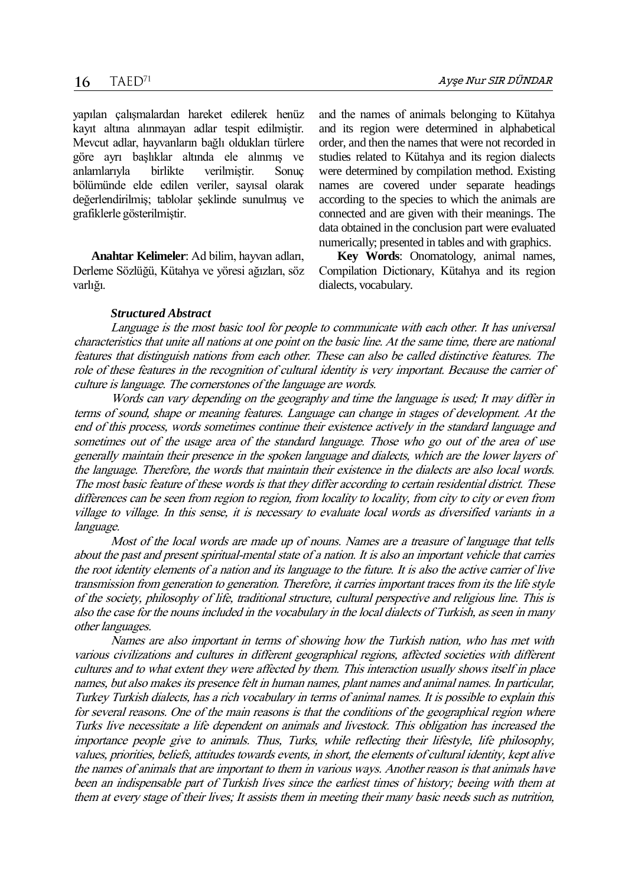yapılan çalışmalardan hareket edilerek henüz kayıt altına alınmayan adlar tespit edilmiştir. Mevcut adlar, hayvanların bağlı oldukları türlere göre ayrı başlıklar altında ele alınmış ve anlamlarıyla birlikte verilmiştir. Sonuç bölümünde elde edilen veriler, sayısal olarak değerlendirilmiş; tablolar şeklinde sunulmuş ve grafiklerle gösterilmiştir.

**Anahtar Kelimeler**: Ad bilim, hayvan adları, Derleme Sözlüğü, Kütahya ve yöresi ağızları, söz varlığı.

and the names of animals belonging to Kütahya and its region were determined in alphabetical order, and then the names that were not recorded in studies related to Kütahya and its region dialects were determined by compilation method. Existing names are covered under separate headings according to the species to which the animals are connected and are given with their meanings. The data obtained in the conclusion part were evaluated numerically; presented in tables and with graphics.

**Key Words**: Onomatology, animal names, Compilation Dictionary, Kütahya and its region dialects, vocabulary.

### *Structured Abstract*

Language is the most basic tool for people to communicate with each other. It has universal characteristics that unite all nations at one point on the basic line. At the same time, there are national features that distinguish nations from each other. These can also be called distinctive features. The role of these features in the recognition of cultural identity is very important. Because the carrier of culture is language. The cornerstones of the language are words.

Words can vary depending on the geography and time the language is used; It may differ in terms of sound, shape or meaning features. Language can change in stages of development. At the end of this process, words sometimes continue their existence actively in the standard language and sometimes out of the usage area of the standard language. Those who go out of the area of use generally maintain their presence in the spoken language and dialects, which are the lower layers of the language. Therefore, the words that maintain their existence in the dialects are also local words. The most basic feature of these words is that they differ according to certain residential district. These differences can be seen from region to region, from locality to locality, from city to city or even from village to village. In this sense, it is necessary to evaluate local words as diversified variants in a language.

Most of the local words are made up of nouns. Names are a treasure of language that tells about the past and present spiritual-mental state of a nation. It is also an important vehicle that carries the root identity elements of a nation and its language to the future. It is also the active carrier of live transmission from generation to generation. Therefore, it carries important traces from its the life style of the society, philosophy of life, traditional structure, cultural perspective and religious line. This is also the case for the nouns included in the vocabulary in the local dialects of Turkish, as seen in many other languages.

Names are also important in terms of showing how the Turkish nation, who has met with various civilizations and cultures in different geographical regions, affected societies with different cultures and to what extent they were affected by them. This interaction usually shows itself in place names, but also makes its presence felt in human names, plant names and animal names. In particular, Turkey Turkish dialects, has a rich vocabulary in terms of animal names. It is possible to explain this for several reasons. One of the main reasons is that the conditions of the geographical region where Turks live necessitate a life dependent on animals and livestock. This obligation has increased the importance people give to animals. Thus, Turks, while reflecting their lifestyle, life philosophy, values, priorities, beliefs, attitudes towards events, in short, the elements of cultural identity, kept alive the names of animals that are important to them in various ways. Another reason is that animals have been an indispensable part of Turkish lives since the earliest times of history; beeing with them at them at every stage of their lives; It assists them in meeting their many basic needs such as nutrition,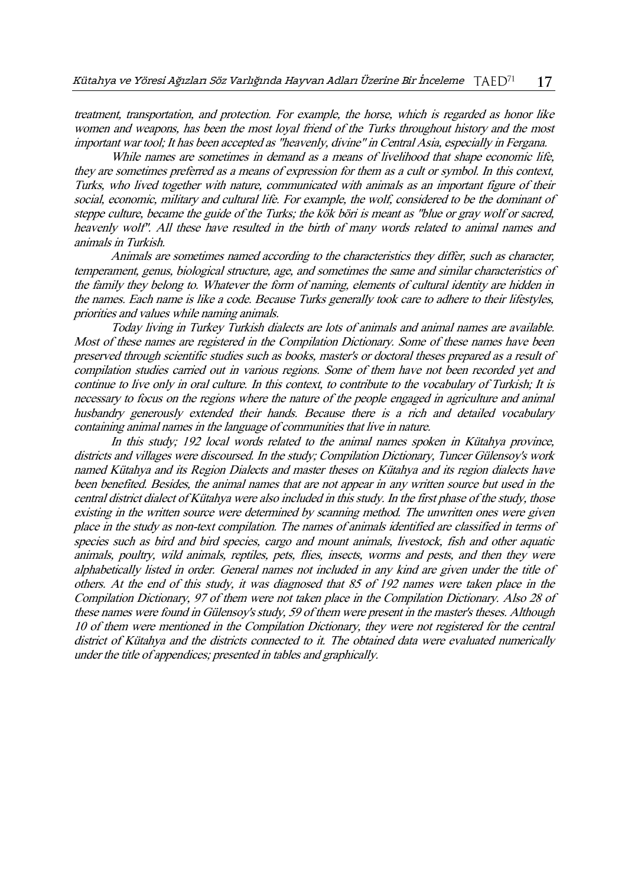treatment, transportation, and protection. For example, the horse, which is regarded as honor like women and weapons, has been the most loyal friend of the Turks throughout history and the most important war tool; It has been accepted as "heavenly, divine" in Central Asia, especially in Fergana.

While names are sometimes in demand as a means of livelihood that shape economic life, they are sometimes preferred as a means of expression for them as a cult or symbol. In this context, Turks, who lived together with nature, communicated with animals as an important figure of their social, economic, military and cultural life. For example, the wolf, considered to be the dominant of steppe culture, became the guide of the Turks; the kök böri is meant as "blue or gray wolf or sacred, heavenly wolf". All these have resulted in the birth of many words related to animal names and animals in Turkish.

Animals are sometimes named according to the characteristics they differ, such as character, temperament, genus, biological structure, age, and sometimes the same and similar characteristics of the family they belong to. Whatever the form of naming, elements of cultural identity are hidden in the names. Each name is like a code. Because Turks generally took care to adhere to their lifestyles, priorities and values while naming animals.

Today living in Turkey Turkish dialects are lots of animals and animal names are available. Most of these names are registered in the Compilation Dictionary. Some of these names have been preserved through scientific studies such as books, master's or doctoral theses prepared as a result of compilation studies carried out in various regions. Some of them have not been recorded yet and continue to live only in oral culture. In this context, to contribute to the vocabulary of Turkish; It is necessary to focus on the regions where the nature of the people engaged in agriculture and animal husbandry generously extended their hands. Because there is a rich and detailed vocabulary containing animal names in the language of communities that live in nature.

In this study; 192 local words related to the animal names spoken in Kütahya province, districts and villages were discoursed. In the study; Compilation Dictionary, Tuncer Gülensoy's work named Kütahya and its Region Dialects and master theses on Kütahya and its region dialects have been benefited. Besides, the animal names that are not appear in any written source but used in the central district dialect of Kütahya were also included in this study. In the first phase of the study, those existing in the written source were determined by scanning method. The unwritten ones were given place in the study as non-text compilation. The names of animals identified are classified in terms of species such as bird and bird species, cargo and mount animals, livestock, fish and other aquatic animals, poultry, wild animals, reptiles, pets, flies, insects, worms and pests, and then they were alphabetically listed in order. General names not included in any kind are given under the title of others. At the end of this study, it was diagnosed that 85 of 192 names were taken place in the Compilation Dictionary, 97 of them were not taken place in the Compilation Dictionary. Also 28 of these names were found in Gülensoy's study, 59 of them were present in the master's theses. Although 10 of them were mentioned in the Compilation Dictionary, they were not registered for the central district of Kütahya and the districts connected to it. The obtained data were evaluated numerically under the title of appendices; presented in tables and graphically.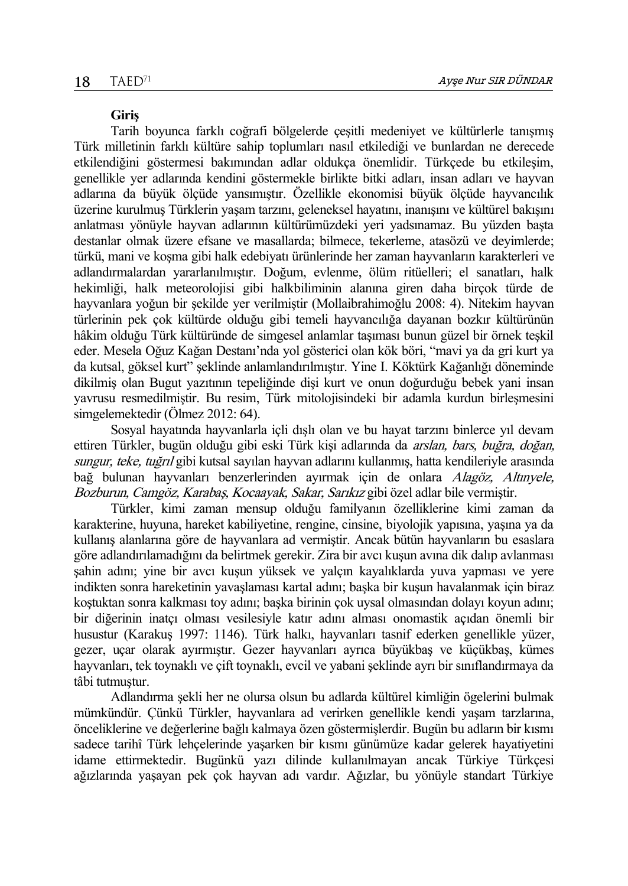### **Giriş**

Tarih boyunca farklı coğrafi bölgelerde çeşitli medeniyet ve kültürlerle tanışmış Türk milletinin farklı kültüre sahip toplumları nasıl etkilediği ve bunlardan ne derecede etkilendiğini göstermesi bakımından adlar oldukça önemlidir. Türkçede bu etkileşim, genellikle yer adlarında kendini göstermekle birlikte bitki adları, insan adları ve hayvan adlarına da büyük ölçüde yansımıştır. Özellikle ekonomisi büyük ölçüde hayvancılık üzerine kurulmuş Türklerin yaşam tarzını, geleneksel hayatını, inanışını ve kültürel bakışını anlatması yönüyle hayvan adlarının kültürümüzdeki yeri yadsınamaz. Bu yüzden başta destanlar olmak üzere efsane ve masallarda; bilmece, tekerleme, atasözü ve deyimlerde; türkü, mani ve koşma gibi halk edebiyatı ürünlerinde her zaman hayvanların karakterleri ve adlandırmalardan yararlanılmıştır. Doğum, evlenme, ölüm ritüelleri; el sanatları, halk hekimliği, halk meteorolojisi gibi halkbiliminin alanına giren daha birçok türde de hayvanlara yoğun bir şekilde yer verilmiştir (Mollaibrahimoğlu 2008: 4). Nitekim hayvan türlerinin pek çok kültürde olduğu gibi temeli hayvancılığa dayanan bozkır kültürünün hâkim olduğu Türk kültüründe de simgesel anlamlar taşıması bunun güzel bir örnek teşkil eder. Mesela Oğuz Kağan Destanı'nda yol gösterici olan kök böri, "mavi ya da gri kurt ya da kutsal, göksel kurt" şeklinde anlamlandırılmıştır. Yine I. Köktürk Kağanlığı döneminde dikilmiş olan Bugut yazıtının tepeliğinde dişi kurt ve onun doğurduğu bebek yani insan yavrusu resmedilmiştir. Bu resim, Türk mitolojisindeki bir adamla kurdun birleşmesini simgelemektedir (Ölmez 2012: 64).

Sosyal hayatında hayvanlarla içli dışlı olan ve bu hayat tarzını binlerce yıl devam ettiren Türkler, bugün olduğu gibi eski Türk kişi adlarında da *arslan, bars, buğra, doğan,* sungur, teke, tuğrıl gibi kutsal sayılan hayvan adlarını kullanmış, hatta kendileriyle arasında bağ bulunan hayvanları benzerlerinden ayırmak için de onlara Alagöz, Altınyele, Bozburun, Camgöz, Karabaş, Kocaayak, Sakar, Sarıkız gibi özel adlar bile vermiştir.

Türkler, kimi zaman mensup olduğu familyanın özelliklerine kimi zaman da karakterine, huyuna, hareket kabiliyetine, rengine, cinsine, biyolojik yapısına, yaşına ya da kullanış alanlarına göre de hayvanlara ad vermiştir. Ancak bütün hayvanların bu esaslara göre adlandırılamadığını da belirtmek gerekir. Zira bir avcı kuşun avına dik dalıp avlanması şahin adını; yine bir avcı kuşun yüksek ve yalçın kayalıklarda yuva yapması ve yere indikten sonra hareketinin yavaşlaması kartal adını; başka bir kuşun havalanmak için biraz koştuktan sonra kalkması toy adını; başka birinin çok uysal olmasından dolayı koyun adını; bir diğerinin inatçı olması vesilesiyle katır adını alması onomastik açıdan önemli bir husustur (Karakuş 1997: 1146). Türk halkı, hayvanları tasnif ederken genellikle yüzer, gezer, uçar olarak ayırmıştır. Gezer hayvanları ayrıca büyükbaş ve küçükbaş, kümes hayvanları, tek toynaklı ve çift toynaklı, evcil ve yabani şeklinde ayrı bir sınıflandırmaya da tâbi tutmuştur.

Adlandırma şekli her ne olursa olsun bu adlarda kültürel kimliğin ögelerini bulmak mümkündür. Çünkü Türkler, hayvanlara ad verirken genellikle kendi yaşam tarzlarına, önceliklerine ve değerlerine bağlı kalmaya özen göstermişlerdir. Bugün bu adların bir kısmı sadece tarihî Türk lehçelerinde yaşarken bir kısmı günümüze kadar gelerek hayatiyetini idame ettirmektedir. Bugünkü yazı dilinde kullanılmayan ancak Türkiye Türkçesi ağızlarında yaşayan pek çok hayvan adı vardır. Ağızlar, bu yönüyle standart Türkiye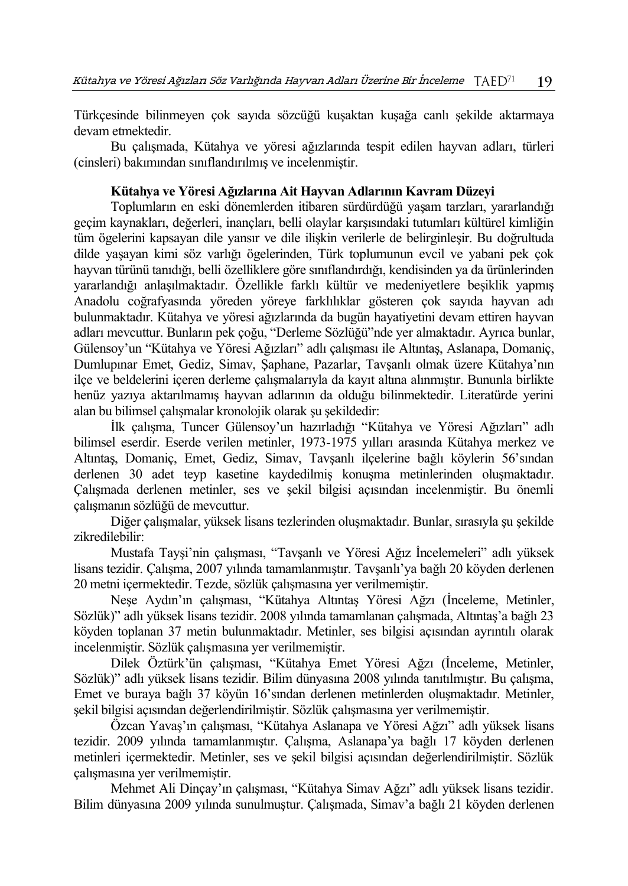Türkçesinde bilinmeyen çok sayıda sözcüğü kuşaktan kuşağa canlı şekilde aktarmaya devam etmektedir.

Bu çalışmada, Kütahya ve yöresi ağızlarında tespit edilen hayvan adları, türleri (cinsleri) bakımından sınıflandırılmış ve incelenmiştir.

## **Kütahya ve Yöresi Ağızlarına Ait Hayvan Adlarının Kavram Düzeyi**

Toplumların en eski dönemlerden itibaren sürdürdüğü yaşam tarzları, yararlandığı geçim kaynakları, değerleri, inançları, belli olaylar karşısındaki tutumları kültürel kimliğin tüm ögelerini kapsayan dile yansır ve dile ilişkin verilerle de belirginleşir. Bu doğrultuda dilde yaşayan kimi söz varlığı ögelerinden, Türk toplumunun evcil ve yabani pek çok hayvan türünü tanıdığı, belli özelliklere göre sınıflandırdığı, kendisinden ya da ürünlerinden yararlandığı anlaşılmaktadır. Özellikle farklı kültür ve medeniyetlere beşiklik yapmış Anadolu coğrafyasında yöreden yöreye farklılıklar gösteren çok sayıda hayvan adı bulunmaktadır. Kütahya ve yöresi ağızlarında da bugün hayatiyetini devam ettiren hayvan adları mevcuttur. Bunların pek çoğu, "Derleme Sözlüğü"nde yer almaktadır. Ayrıca bunlar, Gülensoy'un "Kütahya ve Yöresi Ağızları" adlı çalışması ile Altıntaş, Aslanapa, Domaniç, Dumlupınar Emet, Gediz, Simav, Şaphane, Pazarlar, Tavşanlı olmak üzere Kütahya'nın ilçe ve beldelerini içeren derleme çalışmalarıyla da kayıt altına alınmıştır. Bununla birlikte henüz yazıya aktarılmamış hayvan adlarının da olduğu bilinmektedir. Literatürde yerini alan bu bilimsel çalışmalar kronolojik olarak şu şekildedir:

İlk çalışma, Tuncer Gülensoy'un hazırladığı "Kütahya ve Yöresi Ağızları" adlı bilimsel eserdir. Eserde verilen metinler, 1973-1975 yılları arasında Kütahya merkez ve Altıntaş, Domaniç, Emet, Gediz, Simav, Tavşanlı ilçelerine bağlı köylerin 56'sından derlenen 30 adet teyp kasetine kaydedilmiş konuşma metinlerinden oluşmaktadır. Çalışmada derlenen metinler, ses ve şekil bilgisi açısından incelenmiştir. Bu önemli çalışmanın sözlüğü de mevcuttur.

Diğer çalışmalar, yüksek lisans tezlerinden oluşmaktadır. Bunlar, sırasıyla şu şekilde zikredilebilir:

Mustafa Tayşi'nin çalışması, "Tavşanlı ve Yöresi Ağız İncelemeleri" adlı yüksek lisans tezidir. Çalışma, 2007 yılında tamamlanmıştır. Tavşanlı'ya bağlı 20 köyden derlenen 20 metni içermektedir. Tezde, sözlük çalışmasına yer verilmemiştir.

Neşe Aydın'ın çalışması, "Kütahya Altıntaş Yöresi Ağzı (İnceleme, Metinler, Sözlük)" adlı yüksek lisans tezidir. 2008 yılında tamamlanan çalışmada, Altıntaş'a bağlı 23 köyden toplanan 37 metin bulunmaktadır. Metinler, ses bilgisi açısından ayrıntılı olarak incelenmiştir. Sözlük çalışmasına yer verilmemiştir.

Dilek Öztürk'ün çalışması, "Kütahya Emet Yöresi Ağzı (İnceleme, Metinler, Sözlük)" adlı yüksek lisans tezidir. Bilim dünyasına 2008 yılında tanıtılmıştır. Bu çalışma, Emet ve buraya bağlı 37 köyün 16'sından derlenen metinlerden oluşmaktadır. Metinler, şekil bilgisi açısından değerlendirilmiştir. Sözlük çalışmasına yer verilmemiştir.

Özcan Yavaş'ın çalışması, "Kütahya Aslanapa ve Yöresi Ağzı" adlı yüksek lisans tezidir. 2009 yılında tamamlanmıştır. Çalışma, Aslanapa'ya bağlı 17 köyden derlenen metinleri içermektedir. Metinler, ses ve şekil bilgisi açısından değerlendirilmiştir. Sözlük çalışmasına yer verilmemiştir.

Mehmet Ali Dinçay'ın çalışması, "Kütahya Simav Ağzı" adlı yüksek lisans tezidir. Bilim dünyasına 2009 yılında sunulmuştur. Çalışmada, Simav'a bağlı 21 köyden derlenen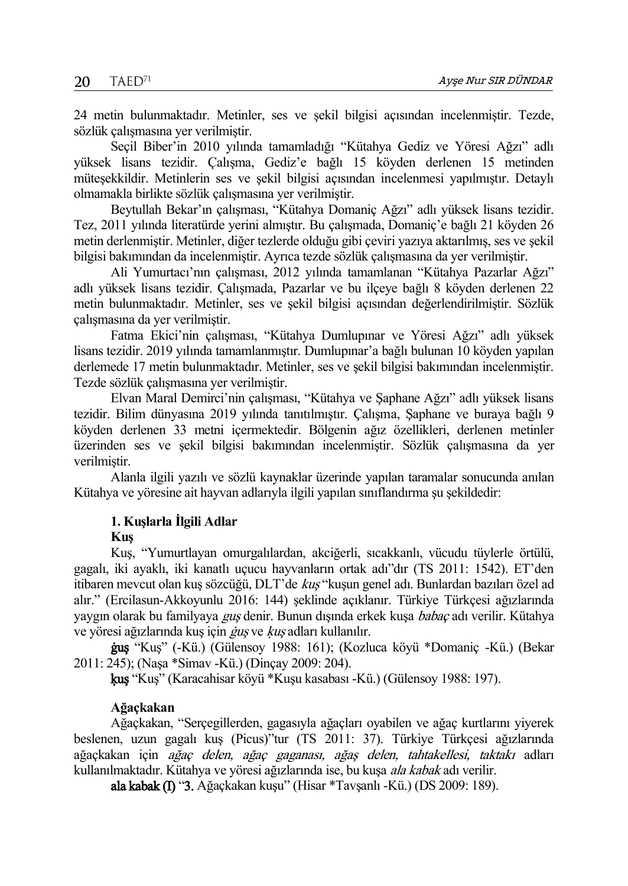24 metin bulunmaktadır. Metinler, ses ve şekil bilgisi açısından incelenmiştir. Tezde, sözlük çalışmasına yer verilmiştir.

Seçil Biber'in 2010 yılında tamamladığı "Kütahya Gediz ve Yöresi Ağzı" adlı yüksek lisans tezidir. Çalışma, Gediz'e bağlı 15 köyden derlenen 15 metinden müteşekkildir. Metinlerin ses ve şekil bilgisi açısından incelenmesi yapılmıştır. Detaylı olmamakla birlikte sözlük çalışmasına yer verilmiştir.

Beytullah Bekar'ın çalışması, "Kütahya Domaniç Ağzı" adlı yüksek lisans tezidir. Tez, 2011 yılında literatürde yerini almıştır. Bu çalışmada, Domaniç'e bağlı 21 köyden 26 metin derlenmiştir. Metinler, diğer tezlerde olduğu gibi çeviri yazıya aktarılmış, ses ve şekil bilgisi bakımından da incelenmiştir. Ayrıca tezde sözlük çalışmasına da yer verilmiştir.

Ali Yumurtacı'nın çalışması, 2012 yılında tamamlanan "Kütahya Pazarlar Ağzı" adlı yüksek lisans tezidir. Çalışmada, Pazarlar ve bu ilçeye bağlı 8 köyden derlenen 22 metin bulunmaktadır. Metinler, ses ve şekil bilgisi açısından değerlendirilmiştir. Sözlük çalışmasına da yer verilmiştir.

Fatma Ekici'nin çalışması, "Kütahya Dumlupınar ve Yöresi Ağzı" adlı yüksek lisans tezidir. 2019 yılında tamamlanmıştır. Dumlupınar'a bağlı bulunan 10 köyden yapılan derlemede 17 metin bulunmaktadır. Metinler, ses ve şekil bilgisi bakımından incelenmiştir. Tezde sözlük çalışmasına yer verilmiştir.

Elvan Maral Demirci'nin çalışması, "Kütahya ve Şaphane Ağzı" adlı yüksek lisans tezidir. Bilim dünyasına 2019 yılında tanıtılmıştır. Çalışma, Şaphane ve buraya bağlı 9 köyden derlenen 33 metni içermektedir. Bölgenin ağız özellikleri, derlenen metinler üzerinden ses ve şekil bilgisi bakımından incelenmiştir. Sözlük çalışmasına da yer verilmiştir.

Alanla ilgili yazılı ve sözlü kaynaklar üzerinde yapılan taramalar sonucunda anılan Kütahya ve yöresine ait hayvan adlarıyla ilgili yapılan sınıflandırma şu şekildedir:

## **1. Kuşlarla İlgili Adlar**

### **Kuş**

Kuş, "Yumurtlayan omurgalılardan, akciğerli, sıcakkanlı, vücudu tüylerle örtülü, gagalı, iki ayaklı, iki kanatlı uçucu hayvanların ortak adı"dır (TS 2011: 1542). ET'den itibaren mevcut olan kuş sözcüğü, DLT'de kuş "kuşun genel adı. Bunlardan bazıları özel ad alır." (Ercilasun-Akkoyunlu 2016: 144) şeklinde açıklanır. Türkiye Türkçesi ağızlarında yaygın olarak bu familyaya guş denir. Bunun dışında erkek kuşa babaç adı verilir. Kütahya ve yöresi ağızlarında kuş için *guş* ve *kuş* adları kullanılır.

ġuş "Kuş" (-Kü.) (Gülensoy 1988: 161); (Kozluca köyü \*Domaniç -Kü.) (Bekar 2011: 245); (Naşa \*Simav -Kü.) (Dinçay 2009: 204).

ķuş "Kuş" (Karacahisar köyü \*Kuşu kasabası -Kü.) (Gülensoy 1988: 197).

## **Ağaçkakan**

Ağaçkakan, "Serçegillerden, gagasıyla ağaçları oyabilen ve ağaç kurtlarını yiyerek beslenen, uzun gagalı kuş (Picus)"tur (TS 2011: 37). Türkiye Türkçesi ağızlarında ağaçkakan için ağaç delen, ağaç gaganası, ağaş delen, tahtakellesi, taktakı adları kullanılmaktadır. Kütahya ve yöresi ağızlarında ise, bu kuşa ala kabak adı verilir.

ala kabak (I) "3. Ağaçkakan kuşu" (Hisar \*Tavşanlı -Kü.) (DS 2009: 189).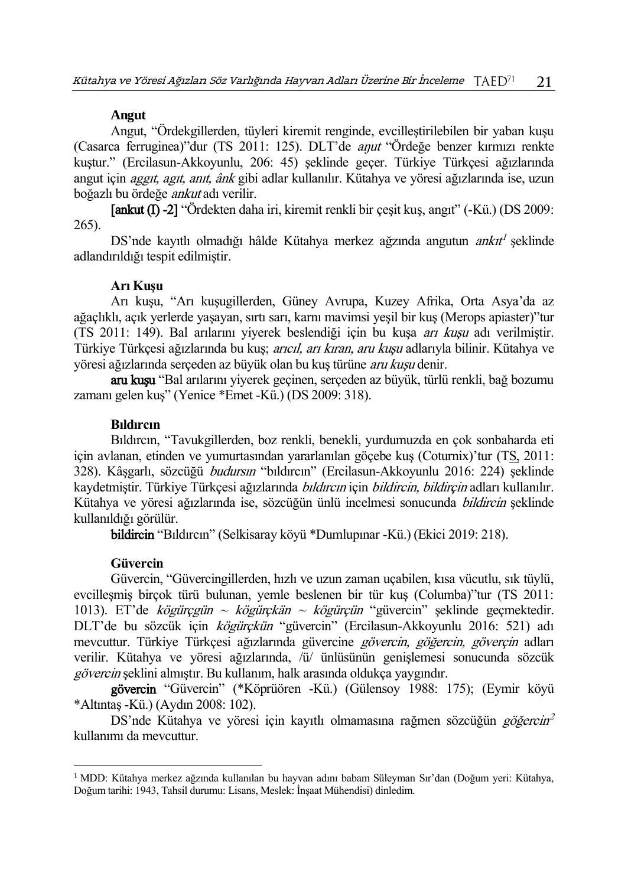### **Angut**

Angut, "Ördekgillerden, tüyleri kiremit renginde, evcilleştirilebilen bir yaban kuşu (Casarca ferruginea)"dur (TS 2011: 125). DLT'de aŋut "Ördeğe benzer kırmızı renkte kuştur." (Ercilasun-Akkoyunlu, 206: 45) şeklinde geçer. Türkiye Türkçesi ağızlarında angut için aggıt, agıt, anıt, ânk gibi adlar kullanılır. Kütahya ve yöresi ağızlarında ise, uzun boğazlı bu ördeğe ankut adı verilir.

[ankut (I) -2] "Ördekten daha iri, kiremit renkli bir çeşit kuş, angıt" (-Kü.) (DS 2009: 265).

DS'nde kayıtlı olmadığı hâlde Kütahya merkez ağzında angutun *ankıt<sup>l</sup>* şeklinde adlandırıldığı tespit edilmiştir.

### **Arı Kuşu**

Arı kuşu, "Arı kuşugillerden, Güney Avrupa, Kuzey Afrika, Orta Asya'da az ağaçlıklı, açık yerlerde yaşayan, sırtı sarı, karnı mavimsi yeşil bir kuş (Merops apiaster)"tur (TS 2011: 149). Bal arılarını yiyerek beslendiği için bu kuşa arı kuşu adı verilmiştir. Türkiye Türkçesi ağızlarında bu kuş; *arıcıl, arı kıran, aru kuşu* adlarıyla bilinir. Kütahya ve yöresi ağızlarında serçeden az büyük olan bu kuş türüne aru kuşu denir.

aru kuşu "Bal arılarını yiyerek geçinen, serçeden az büyük, türlü renkli, bağ bozumu zamanı gelen kuş" (Yenice \*Emet -Kü.) (DS 2009: 318).

### **Bıldırcın**

Bıldırcın, "Tavukgillerden, boz renkli, benekli, yurdumuzda en çok sonbaharda eti için avlanan, etinden ve yumurtasından yararlanılan göçebe kuş (Coturnix)'tur ([TS,](http://tdk.gov.tr/icerik/diger-icerikler/tumsozlukler) 2011: 328). Kâşgarlı, sözcüğü budursın "bıldırcın" (Ercilasun-Akkoyunlu 2016: 224) şeklinde kaydetmiştir. Türkiye Türkçesi ağızlarında *bıldırcın* için *bildircin, bildirçin* adları kullanılır. Kütahya ve yöresi ağızlarında ise, sözcüğün ünlü incelmesi sonucunda bildircin şeklinde kullanıldığı görülür.

bildircin "Bıldırcın" (Selkisaray köyü \*Dumlupınar -Kü.) (Ekici 2019: 218).

### **Güvercin**

 $\overline{a}$ 

Güvercin, "Güvercingillerden, hızlı ve uzun zaman uçabilen, kısa vücutlu, sık tüylü, evcilleşmiş birçok türü bulunan, yemle beslenen bir tür kuş (Columba)"tur (TS 2011: 1013). ET'de kögürçgün  $\sim$  kögürçkän  $\sim$  kögürçün "güvercin" şeklinde geçmektedir. DLT'de bu sözcük için kögürçkün "güvercin" (Ercilasun-Akkoyunlu 2016: 521) adı mevcuttur. Türkiye Türkçesi ağızlarında güvercine gövercin, göğercin, göverçin adları verilir. Kütahya ve yöresi ağızlarında, /ü/ ünlüsünün genişlemesi sonucunda sözcük gövercin şeklini almıştır. Bu kullanım, halk arasında oldukça yaygındır.

gövercin "Güvercin" (\*Köprüören -Kü.) (Gülensoy 1988: 175); (Eymir köyü \*Altıntaş -Kü.) (Aydın 2008: 102).

DS'nde Kütahya ve yöresi için kayıtlı olmamasına rağmen sözcüğün *göğercin<sup>2</sup>* kullanımı da mevcuttur.

<sup>1</sup> MDD: Kütahya merkez ağzında kullanılan bu hayvan adını babam Süleyman Sır'dan (Doğum yeri: Kütahya, Doğum tarihi: 1943, Tahsil durumu: Lisans, Meslek: İnşaat Mühendisi) dinledim.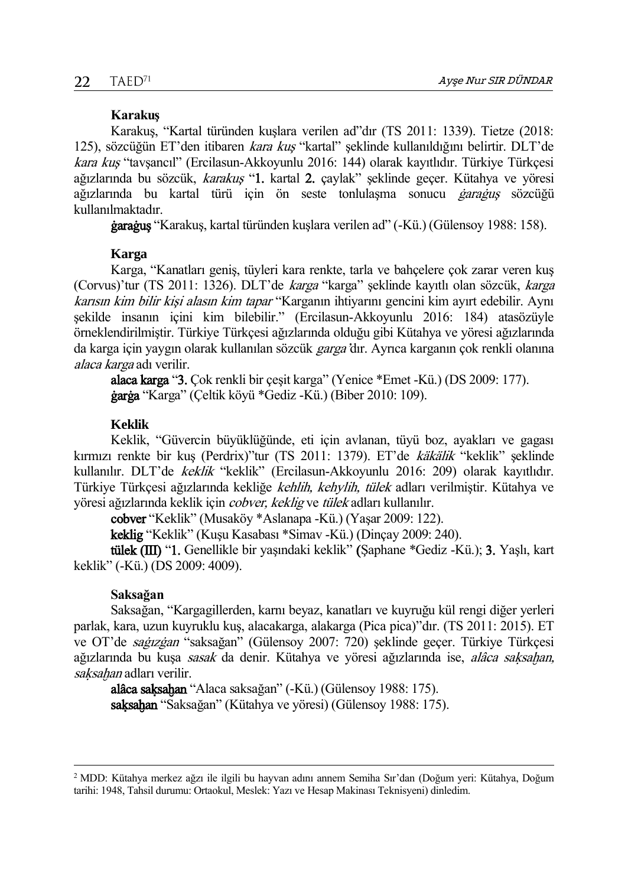### **Karakuş**

Karakuş, "Kartal türünden kuşlara verilen ad"dır (TS 2011: 1339). Tietze (2018: 125), sözcüğün ET'den itibaren kara kuş "kartal" şeklinde kullanıldığını belirtir. DLT'de kara kuş "tavşancıl" (Ercilasun-Akkoyunlu 2016: 144) olarak kayıtlıdır. Türkiye Türkçesi ağızlarında bu sözcük, karakuş "1. kartal 2. çaylak" şeklinde geçer. Kütahya ve yöresi ağızlarında bu kartal türü için ön seste tonlulaşma sonucu *garağus* sözcüğü kullanılmaktadır.

ġaraġuş "Karakuş, kartal türünden kuşlara verilen ad" (-Kü.) (Gülensoy 1988: 158).

### **Karga**

Karga, "Kanatları geniş, tüyleri kara renkte, tarla ve bahçelere çok zarar veren kuş (Corvus)'tur (TS 2011: 1326). DLT'de karga "karga" şeklinde kayıtlı olan sözcük, karga karısın kim bilir kişi alasın kim tapar "Karganın ihtiyarını gencini kim ayırt edebilir. Aynı şekilde insanın içini kim bilebilir." (Ercilasun-Akkoyunlu 2016: 184) atasözüyle örneklendirilmiştir. Türkiye Türkçesi ağızlarında olduğu gibi Kütahya ve yöresi ağızlarında da karga için yaygın olarak kullanılan sözcük *garga'*dır. Ayrıca karganın çok renkli olanına alaca karga adı verilir.

alaca karga "3. Çok renkli bir çeşit karga" (Yenice \*Emet -Kü.) (DS 2009: 177). ġarġa "Karga" (Çeltik köyü \*Gediz -Kü.) (Biber 2010: 109).

## **Keklik**

Keklik, "Güvercin büyüklüğünde, eti için avlanan, tüyü boz, ayakları ve gagası kırmızı renkte bir kuş (Perdrix)"tur (TS 2011: 1379). ET'de käkälik "keklik" şeklinde kullanılır. DLT'de keklik "keklik" (Ercilasun-Akkoyunlu 2016: 209) olarak kayıtlıdır. Türkiye Türkçesi ağızlarında kekliğe kehlih, kehylih, tülek adları verilmiştir. Kütahya ve yöresi ağızlarında keklik için cobver, keklig ve tülek adları kullanılır.

cobver "Keklik" (Musaköy \*Aslanapa -Kü.) (Yaşar 2009: 122).

keklig "Keklik" (Kuşu Kasabası \*Simav -Kü.) (Dinçay 2009: 240).

tülek (III) "1. Genellikle bir yaşındaki keklik" (Şaphane \*Gediz -Kü.); 3. Yaşlı, kart keklik" (-Kü.) (DS 2009: 4009).

### **Saksağan**

 $\overline{a}$ 

Saksağan, "Kargagillerden, karnı beyaz, kanatları ve kuyruğu kül rengi diğer yerleri parlak, kara, uzun kuyruklu kuş, alacakarga, alakarga (Pica pica)"dır. (TS 2011: 2015). ET ve OT'de saģīzģan "saksağan" (Gülensoy 2007: 720) seklinde geçer. Türkiye Türkçesi ağızlarında bu kusa sasak da denir. Kütahya ve yöresi ağızlarında ise, alâca saksahan, saksahan adları verilir.

alâca saķsaħan "Alaca saksağan" (-Kü.) (Gülensoy 1988: 175). saķsaħan "Saksağan" (Kütahya ve yöresi) (Gülensoy 1988: 175).

<sup>2</sup> MDD: Kütahya merkez ağzı ile ilgili bu hayvan adını annem Semiha Sır'dan (Doğum yeri: Kütahya, Doğum tarihi: 1948, Tahsil durumu: Ortaokul, Meslek: Yazı ve Hesap Makinası Teknisyeni) dinledim.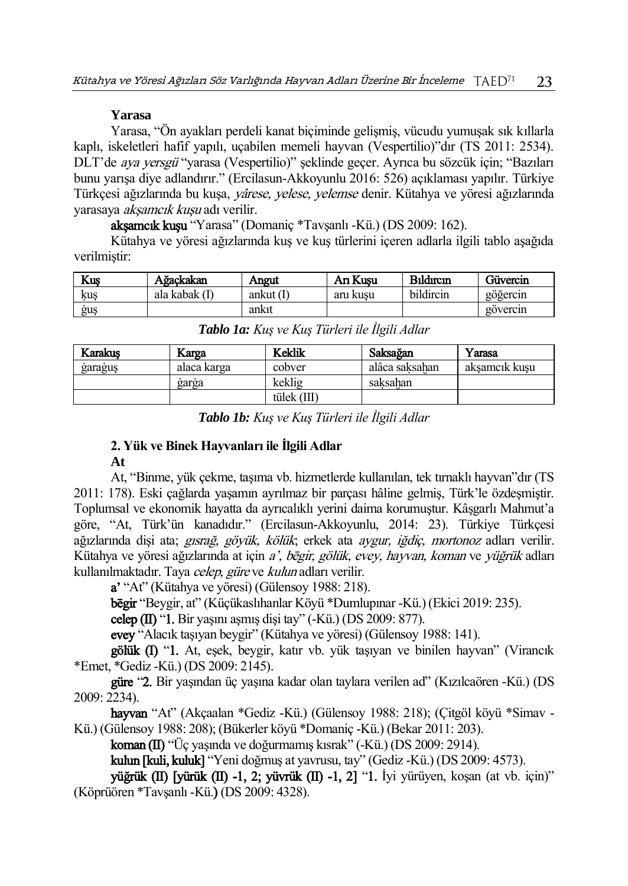## **Yarasa**

Yarasa, "Ön ayakları perdeli kanat biçiminde gelişmiş, vücudu yumuşak sık kıllarla kaplı, iskeletleri hafif yapılı, uçabilen memeli hayvan (Vespertilio)"dır (TS 2011: 2534). DLT'de aya yersgü "yarasa (Vespertilio)" şeklinde geçer. Ayrıca bu sözcük için; "Bazıları bunu yarışa diye adlandırır." (Ercilasun-Akkoyunlu 2016: 526) açıklaması yapılır. Türkiye Türkçesi ağızlarında bu kuşa, yârese, yelese, yelemse denir. Kütahya ve yöresi ağızlarında yarasaya akşamcık kuşu adı verilir.

akşamcık kuşu "Yarasa" (Domaniç \*Tavşanlı -Kü.) (DS 2009: 162).

Kütahya ve yöresi ağızlarında kuş ve kuş türlerini içeren adlarla ilgili tablo aşağıda verilmiştir:

| Kus | Aĕackakan     | Aneut       | An Kusu  | <b>Bildirein</b> | Güvercin                 |
|-----|---------------|-------------|----------|------------------|--------------------------|
| kus | ala kabak (I) | ankut $(1)$ | aru kusu | bildircin        | $\cdot\cdot$<br>gogercin |
| guş |               | ankit       |          |                  | govercin                 |

| <b>Karakus</b> | Karga       | Keklik      | Saksağan       | Yarasa        |
|----------------|-------------|-------------|----------------|---------------|
| garagus        | alaca karga | cobver      | alâca saksahan | aksamcık kusu |
|                | garga       | keklig      | saksahan       |               |
|                |             | tülek (III) |                |               |

*Tablo 1a: Kuş ve Kuş Türleri ile İlgili Adlar*

# **2. Yük ve Binek Hayvanları ile İlgili Adlar**

### **At**

At, "Binme, yük çekme, taşıma vb. hizmetlerde kullanılan, tek tırnaklı hayvan"dır (TS 2011: 178). Eski çağlarda yaşamın ayrılmaz bir parçası hâline gelmiş, Türk'le özdeşmiştir. Toplumsal ve ekonomik hayatta da ayrıcalıklı yerini daima korumuştur. Kâşgarlı Mahmut'a göre, "At, Türk'ün kanadıdır." (Ercilasun-Akkoyunlu, 2014: 23). Türkiye Türkçesi ağızlarında dişi ata; *gısrağ, göyük, kölük*; erkek ata *aygur, iğdiç, mortonoz* adları verilir. Kütahya ve yöresi ağızlarında at için *a', bēgir, gölük, evey, hayvan, koman ve yüğrük* adları kullanılmaktadır. Taya celep, güre ve kulun adları verilir.

a' "At" (Kütahya ve yöresi) (Gülensoy 1988: 218).

bēgir "Beygir, at" (Küçükaslıhanlar Köyü \*Dumlupınar -Kü.) (Ekici 2019: 235).

celep  $(II)$  "1. Bir yaşını aşmış dişi tay"  $(-K\ddot{u})$   $(DS 2009: 877)$ .

evey "Alacık taşıyan beygir" (Kütahya ve yöresi) (Gülensoy 1988: 141).

gölük (I) "1. At, eşek, beygir, katır vb. yük taşıyan ve binilen hayvan" (Virancık \*Emet, \*Gediz -Kü.) (DS 2009: 2145).

güre "2. Bir yaşından üç yaşına kadar olan taylara verilen ad" (Kızılcaören -Kü.) (DS 2009: 2234).

hayvan "At" (Akçaalan \*Gediz -Kü.) (Gülensoy 1988: 218); (Çitgöl köyü \*Simav - Kü.) (Gülensoy 1988: 208); (Bükerler köyü \*Domaniç -Kü.) (Bekar 2011: 203).

koman (II) "Üç yaşında ve doğurmamış kısrak" (-Kü.) (DS 2009: 2914).

kulun [kuli, kuluk] "Yeni doğmuş at yavrusu, tay" (Gediz -Kü.) (DS 2009: 4573).

yüğrük (II) [yürük (II) -1, 2; yüvrük (II) -1, 2] "1. İyi yürüyen, koşan (at vb. için)" (Köprüören \*Tavşanlı -Kü.) (DS 2009: 4328).

*Tablo 1b: Kuş ve Kuş Türleri ile İlgili Adlar*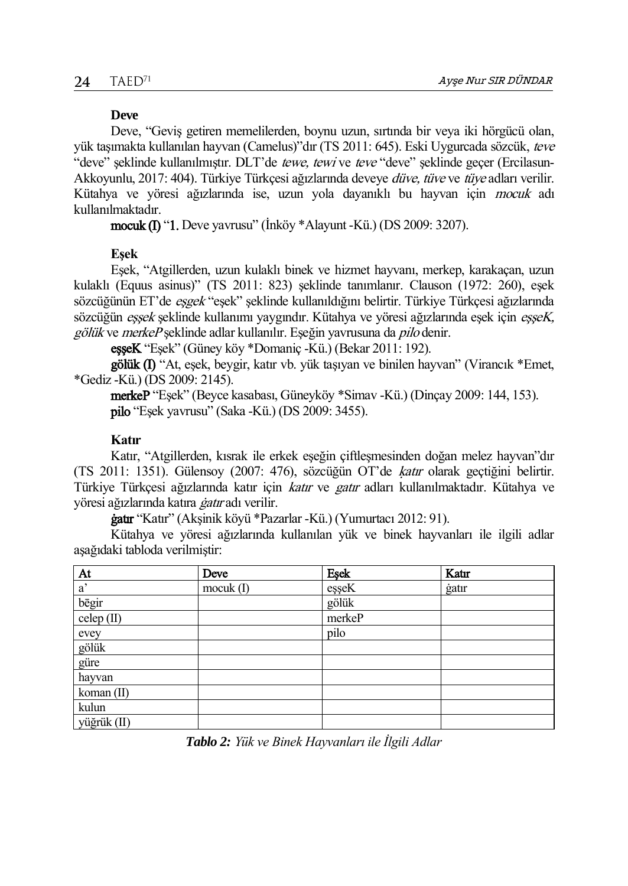### **Deve**

Deve, "Geviş getiren memelilerden, boynu uzun, sırtında bir veya iki hörgücü olan, yük taşımakta kullanılan hayvan (Camelus)"dır (TS 2011: 645). Eski Uygurcada sözcük, teve "deve" şeklinde kullanılmıştır. DLT'de tewe, tewi ve teve "deve" şeklinde geçer (Ercilasun-Akkoyunlu, 2017: 404). Türkiye Türkçesi ağızlarında deveye *düve, tüve* ve tüve adları verilir. Kütahya ve yöresi ağızlarında ise, uzun yola dayanıklı bu hayvan için mocuk adı kullanılmaktadır.

mocuk (I) "1. Deve yavrusu" (İnköy \*Alayunt -Kü.) (DS 2009: 3207).

### **Eşek**

Eşek, "Atgillerden, uzun kulaklı binek ve hizmet hayvanı, merkep, karakaçan, uzun kulaklı (Equus asinus)" (TS 2011: 823) şeklinde tanımlanır. Clauson (1972: 260), eşek sözcüğünün ET'de eşgek "eşek" şeklinde kullanıldığını belirtir. Türkiye Türkçesi ağızlarında sözcüğün essek seklinde kullanımı yaygındır. Kütahya ve yöresi ağızlarında esek için esseK. gölük ve merkeP seklinde adlar kullanılır. Eseğin yavrusuna da *pilo* denir.

eşşeK "Eşek" (Güney köy \*Domaniç -Kü.) (Bekar 2011: 192).

gölük (I) "At, eşek, beygir, katır vb. yük taşıyan ve binilen hayvan" (Virancık \*Emet, \*Gediz -Kü.) (DS 2009: 2145).

merkeP "Eşek" (Beyce kasabası, Güneyköy \*Simav -Kü.) (Dinçay 2009: 144, 153). pilo "Eşek yavrusu" (Saka -Kü.) (DS 2009: 3455).

## **Katır**

Katır, "Atgillerden, kısrak ile erkek eşeğin çiftleşmesinden doğan melez hayvan"dır (TS 2011: 1351). Gülensoy (2007: 476), sözcüğün OT'de ķatır olarak geçtiğini belirtir. Türkiye Türkçesi ağızlarında katır için katır ve gatır adları kullanılmaktadır. Kütahya ve yöresi ağızlarında katıra *gatır* adı verilir.

ġatır "Katır" (Akşinik köyü \*Pazarlar -Kü.) (Yumurtacı 2012: 91).

Kütahya ve yöresi ağızlarında kullanılan yük ve binek hayvanları ile ilgili adlar aşağıdaki tabloda verilmiştir:

| At           | Deve        | Eşek   | Katır |
|--------------|-------------|--------|-------|
| $a^{\prime}$ | $mocuk$ (I) | eşşeK  | gatır |
| bēgir        |             | gölük  |       |
| celep $(II)$ |             | merkeP |       |
| evey         |             | pilo   |       |
| gölük        |             |        |       |
| güre         |             |        |       |
| hayvan       |             |        |       |
| koman (II)   |             |        |       |
| kulun        |             |        |       |
| yüğrük (II)  |             |        |       |

*Tablo 2: Yük ve Binek Hayvanları ile İlgili Adlar*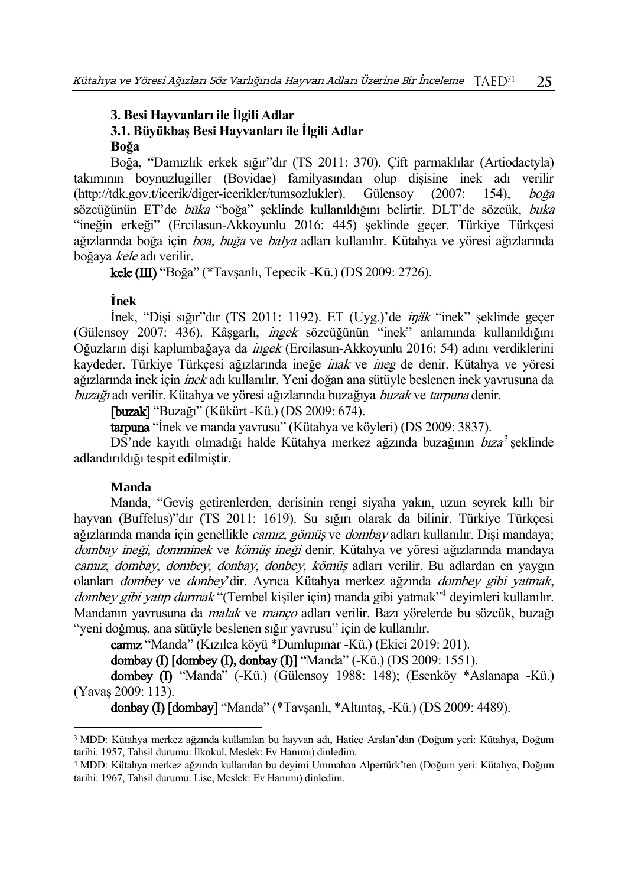# **3. Besi Hayvanları ile İlgili Adlar 3.1. Büyükbaş Besi Hayvanları ile İlgili Adlar**

### **Boğa**

Boğa, "Damızlık erkek sığır"dır (TS 2011: 370). Çift parmaklılar (Artiodactyla) takımının boynuzlugiller (Bovidae) familyasından olup dişisine inek adı verilir [\(http://tdk.gov.t/icerik/diger-icerikler/tumsozlukler](http://tdk.gov.t/icerik/diger-icerikler/tumsozlukler)). Gülensoy (2007: 154), boğa sözcüğünün ET'de būka "boğa" seklinde kullanıldığını belirtir. DLT'de sözcük, buka "ineğin erkeği" (Ercilasun-Akkoyunlu 2016: 445) şeklinde geçer. Türkiye Türkçesi ağızlarında boğa için boa, buğa ve balya adları kullanılır. Kütahya ve yöresi ağızlarında boğaya kele adı verilir.

kele (III) "Boğa" (\*Tavşanlı, Tepecik -Kü.) (DS 2009: 2726).

## **İnek**

İnek, "Dişi sığır"dır (TS 2011: 1192). ET (Uyg.)'de iŋäk "inek" şeklinde geçer (Gülensoy 2007: 436). Kâşgarlı, ingek sözcüğünün "inek" anlamında kullanıldığını Oğuzların dişi kaplumbağaya da ingek (Ercilasun-Akkoyunlu 2016: 54) adını verdiklerini kaydeder. Türkiye Türkçesi ağızlarında ineğe inak ve ineg de denir. Kütahya ve yöresi ağızlarında inek için inek adı kullanılır. Yeni doğan ana sütüyle beslenen inek yavrusuna da buzağı adı verilir. Kütahya ve yöresi ağızlarında buzağıya buzak ve tarpuna denir.

[buzak] "Buzağı" (Kükürt -Kü.) (DS 2009: 674).

tarpuna "İnek ve manda yavrusu" (Kütahya ve köyleri) (DS 2009: 3837).

DS'nde kayıtlı olmadığı halde Kütahya merkez ağzında buzağının *bıza*<sup>3</sup> şeklinde adlandırıldığı tespit edilmiştir.

# **Manda**

 $\overline{a}$ 

Manda, "Geviş getirenlerden, derisinin rengi siyaha yakın, uzun seyrek kıllı bir hayvan (Buffelus)"dır (TS 2011: 1619). Su sığırı olarak da bilinir. Türkiye Türkçesi ağızlarında manda için genellikle *camız, gömüs* ve *dombay* adları kullanılır. Disi mandaya; dombay ineği, domminek ve kömüş ineği denir. Kütahya ve yöresi ağızlarında mandaya camız, dombay, dombey, donbay, donbey, kömüş adları verilir. Bu adlardan en yaygın olanları dombey ve donbey'dir. Ayrıca Kütahya merkez ağzında dombey gibi yatmak, dombey gibi yatıp durmak "(Tembel kişiler için) manda gibi yatmak"<sup>4</sup> deyimleri kullanılır. Mandanın yavrusuna da malak ve manço adları verilir. Bazı yörelerde bu sözcük, buzağı "yeni doğmuş, ana sütüyle beslenen sığır yavrusu" için de kullanılır.

camız "Manda" (Kızılca köyü \*Dumlupınar -Kü.) (Ekici 2019: 201).

dombay (I) [dombey (I), donbay (I)] "Manda" (-Kü.) (DS 2009: 1551).

dombey (I) "Manda" (-Kü.) (Gülensoy 1988: 148); (Esenköy \*Aslanapa -Kü.) (Yavaş 2009: 113).

donbay (I) [dombay] "Manda" (\*Tavşanlı, \*Altıntaş, -Kü.) (DS 2009: 4489).

<sup>3</sup> MDD: Kütahya merkez ağzında kullanılan bu hayvan adı, Hatice Arslan'dan (Doğum yeri: Kütahya, Doğum tarihi: 1957, Tahsil durumu: İlkokul, Meslek: Ev Hanımı) dinledim.

<sup>4</sup> MDD: Kütahya merkez ağzında kullanılan bu deyimi Ummahan Alpertürk'ten (Doğum yeri: Kütahya, Doğum tarihi: 1967, Tahsil durumu: Lise, Meslek: Ev Hanımı) dinledim.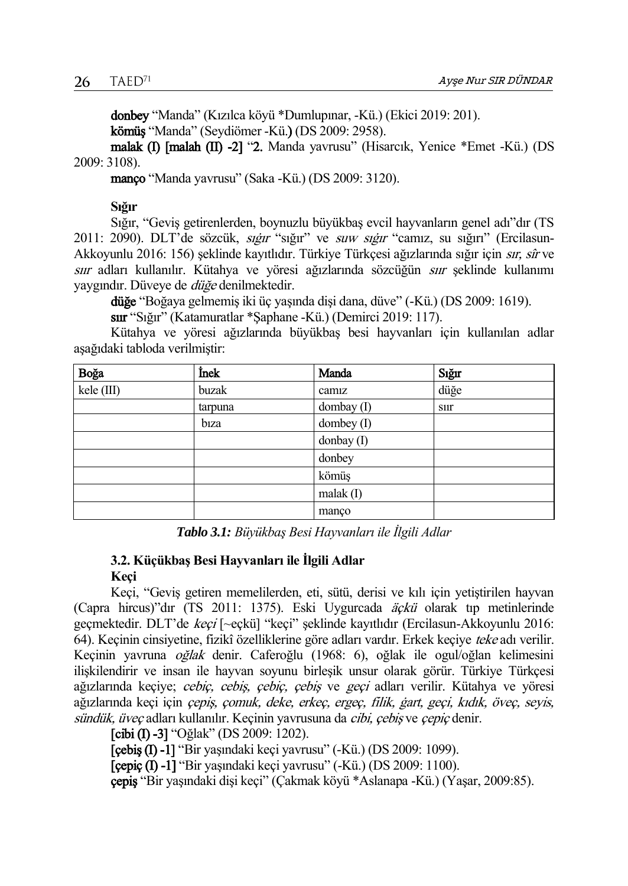donbey "Manda" (Kızılca köyü \*Dumlupınar, -Kü.) (Ekici 2019: 201). kömüş "Manda" (Seydiömer -Kü.) (DS 2009: 2958).

malak (I) [malah (II) -2] "2. Manda yavrusu" (Hisarcık, Yenice \*Emet -Kü.) (DS 2009: 3108).

manço "Manda yavrusu" (Saka -Kü.) (DS 2009: 3120).

**Sığır** 

Sığır, "Geviş getirenlerden, boynuzlu büyükbaş evcil hayvanların genel adı"dır (TS 2011: 2090). DLT'de sözcük, sığır "sığır" ve suw sığır "camız, su sığırı" (Ercilasun-Akkoyunlu 2016: 156) şeklinde kayıtlıdır. Türkiye Türkçesi ağızlarında sığır için sır, sîr ve sıır adları kullanılır. Kütahya ve yöresi ağızlarında sözcüğün sıır şeklinde kullanımı yaygındır. Düveye de düğe denilmektedir.

düğe "Boğaya gelmemiş iki üç yaşında dişi dana, düve" (-Kü.) (DS 2009: 1619).

sıır "Sığır" (Katamuratlar \*Şaphane -Kü.) (Demirci 2019: 117).

Kütahya ve yöresi ağızlarında büyükbaş besi hayvanları için kullanılan adlar aşağıdaki tabloda verilmiştir:

| Boğa       | İnek    | Manda          | Sığır       |
|------------|---------|----------------|-------------|
| kele (III) | buzak   | camiz          | düğe        |
|            | tarpuna | dombay (I)     | <b>S11r</b> |
|            | biza    | dombey (I)     |             |
|            |         | donbay (I)     |             |
|            |         | donbey         |             |
|            |         | kömüş          |             |
|            |         | $m$ alak $(I)$ |             |
|            |         | manço          |             |

*Tablo 3.1: Büyükbaş Besi Hayvanları ile İlgili Adlar*

## **3.2. Küçükbaş Besi Hayvanları ile İlgili Adlar Keçi**

Keçi, "Geviş getiren memelilerden, eti, sütü, derisi ve kılı için yetiştirilen hayvan (Capra hircus)"dır (TS 2011: 1375). Eski Uygurcada äçkü olarak tıp metinlerinde geçmektedir. DLT'de keçi [~eçkü] "keçi" şeklinde kayıtlıdır (Ercilasun-Akkoyunlu 2016: 64). Keçinin cinsiyetine, fizikî özelliklerine göre adları vardır. Erkek keçiye teke adı verilir. Keçinin yavruna oğlak denir. Caferoğlu (1968: 6), oğlak ile ogul/oğlan kelimesini ilişkilendirir ve insan ile hayvan soyunu birleşik unsur olarak görür. Türkiye Türkçesi ağızlarında keçiye; cebiç, cebiş, çebiç, çebiş ve geçi adları verilir. Kütahya ve yöresi ağızlarında keçi için *çepiş, çomuk, deke, erkeç, ergeç, filik, gart, geçi, kıdık, öveç, seyis,* sündük, üveç adları kullanılır. Keçinin yavrusuna da *çibi, çebiş* ve *çepiç* denir.

[cibi (I) -3] "Oğlak" (DS 2009: 1202).

[çebiş (I) -1] "Bir yaşındaki keçi yavrusu" (-Kü.) (DS 2009: 1099).

[çepiç (I) -1] "Bir yaşındaki keçi yavrusu" (-Kü.) (DS 2009: 1100).

çepiş "Bir yaşındaki dişi keçi" (Çakmak köyü \*Aslanapa -Kü.) (Yaşar, 2009:85).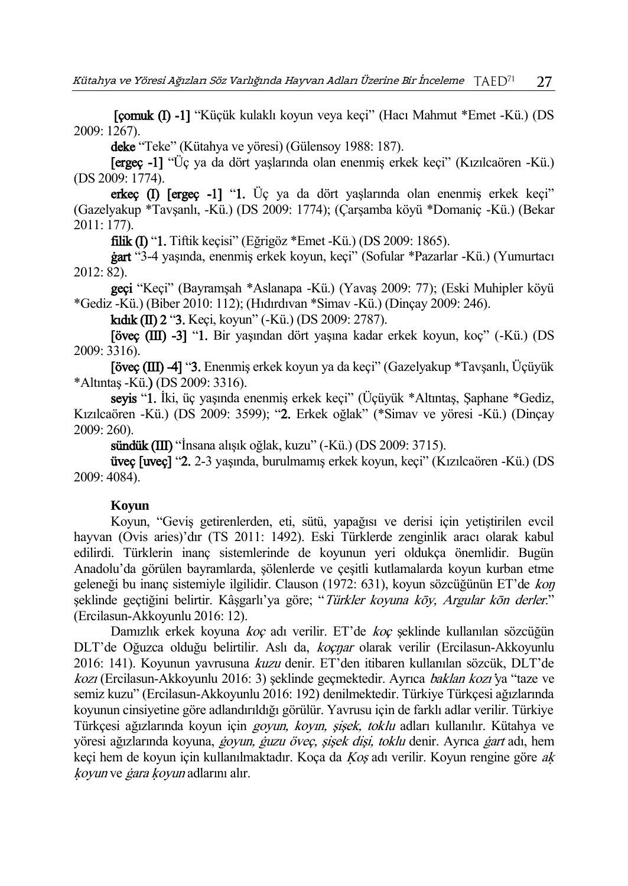[çomuk (I) -1] "Küçük kulaklı koyun veya keçi" (Hacı Mahmut \*Emet -Kü.) (DS 2009: 1267).

deke "Teke" (Kütahya ve yöresi) (Gülensoy 1988: 187).

[ergeç -1] "Üç ya da dört yaşlarında olan enenmiş erkek keçi" (Kızılcaören -Kü.) (DS 2009: 1774).

erkeç (I) [ergeç -1] "1. Üç ya da dört yaşlarında olan enenmiş erkek keçi" (Gazelyakup \*Tavşanlı, -Kü.) (DS 2009: 1774); (Çarşamba köyü \*Domaniç -Kü.) (Bekar 2011: 177).

filik (I) "1. Tiftik keçisi" (Eğrigöz \*Emet -Kü.) (DS 2009: 1865).

ġart "3-4 yaşında, enenmiş erkek koyun, keçi" (Sofular \*Pazarlar -Kü.) (Yumurtacı 2012: 82).

geçi "Keçi" (Bayramşah \*Aslanapa -Kü.) (Yavaş 2009: 77); (Eski Muhipler köyü \*Gediz -Kü.) (Biber 2010: 112); (Hıdırdıvan \*Simav -Kü.) (Dinçay 2009: 246).

kıdık (II) 2 "3. Keçi, koyun" (-Kü.) (DS 2009: 2787).

[öveç (III) -3] "1. Bir yaşından dört yaşına kadar erkek koyun, koç" (-Kü.) (DS 2009: 3316).

[öveç (III) -4] "3. Enenmiş erkek koyun ya da keçi" (Gazelyakup \*Tavşanlı, Üçüyük \*Altıntaş -Kü.) (DS 2009: 3316).

seyis "1. İki, üç yaşında enenmiş erkek keçi" (Üçüyük \*Altıntaş, Şaphane \*Gediz, Kızılcaören -Kü.) (DS 2009: 3599); "2. Erkek oğlak" (\*Simav ve yöresi -Kü.) (Dinçay 2009: 260).

sündük (III) "İnsana alışık oğlak, kuzu" (-Kü.) (DS 2009: 3715).

üveç [uveç] "2. 2-3 yaşında, burulmamış erkek koyun, keçi" (Kızılcaören -Kü.) (DS 2009: 4084).

### **Koyun**

Koyun, "Geviş getirenlerden, eti, sütü, yapağısı ve derisi için yetiştirilen evcil hayvan (Ovis aries)'dır (TS 2011: 1492). Eski Türklerde zenginlik aracı olarak kabul edilirdi. Türklerin inanç sistemlerinde de koyunun yeri oldukça önemlidir. Bugün Anadolu'da görülen bayramlarda, şölenlerde ve çeşitli kutlamalarda koyun kurban etme geleneği bu inanç sistemiyle ilgilidir. Clauson (1972: 631), koyun sözcüğünün ET'de koŋ şeklinde geçtiğini belirtir. Kâşgarlı'ya göre; "Türkler koyuna kōy, Argular kōn derler." (Ercilasun-Akkoyunlu 2016: 12).

Damızlık erkek koyuna koç adı verilir. ET'de koç şeklinde kullanılan sözcüğün DLT'de Oğuzca olduğu belirtilir. Aslı da, koçnar olarak verilir (Ercilasun-Akkoyunlu 2016: 141). Koyunun yavrusuna kuzu denir. ET'den itibaren kullanılan sözcük, DLT'de kozı (Ercilasun-Akkoyunlu 2016: 3) şeklinde geçmektedir. Ayrıca baklan kozı'ya "taze ve semiz kuzu" (Ercilasun-Akkoyunlu 2016: 192) denilmektedir. Türkiye Türkçesi ağızlarında koyunun cinsiyetine göre adlandırıldığı görülür. Yavrusu için de farklı adlar verilir. Türkiye Türkcesi ağızlarında koyun için *goyun, koyın, sişek, toklu* adları kullanılır. Kütahya ve yöresi ağızlarında koyuna, *ġoyun, ġuzu öveç, şişek dişi, toklu* denir. Ayrıca *ġart* adı, hem keçi hem de koyun için kullanılmaktadır. Koça da Ķoş adı verilir. Koyun rengine göre aķ ķoyun ve ġara ķoyun adlarını alır.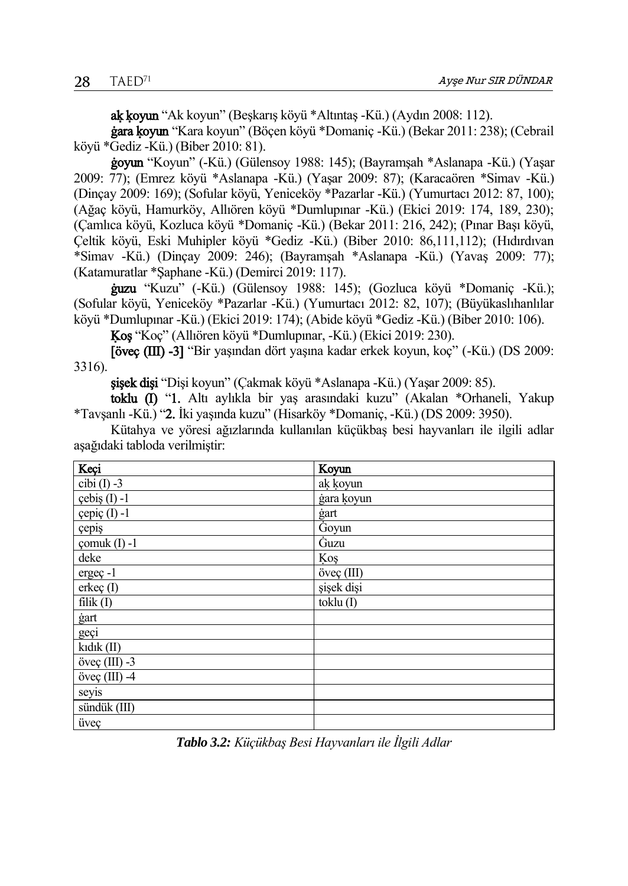aķ ķoyun "Ak koyun" (Beşkarış köyü \*Altıntaş -Kü.) (Aydın 2008: 112).

ġara ķoyun "Kara koyun" (Böçen köyü \*Domaniç -Kü.) (Bekar 2011: 238); (Cebrail köyü \*Gediz -Kü.) (Biber 2010: 81).

ġoyun "Koyun" (-Kü.) (Gülensoy 1988: 145); (Bayramşah \*Aslanapa -Kü.) (Yaşar 2009: 77); (Emrez köyü \*Aslanapa -Kü.) (Yaşar 2009: 87); (Karacaören \*Simav -Kü.) (Dinçay 2009: 169); (Sofular köyü, Yeniceköy \*Pazarlar -Kü.) (Yumurtacı 2012: 87, 100); (Ağaç köyü, Hamurköy, Allıören köyü \*Dumlupınar -Kü.) (Ekici 2019: 174, 189, 230); (Çamlıca köyü, Kozluca köyü \*Domaniç -Kü.) (Bekar 2011: 216, 242); (Pınar Başı köyü, Çeltik köyü, Eski Muhipler köyü \*Gediz -Kü.) (Biber 2010: 86,111,112); (Hıdırdıvan \*Simav -Kü.) (Dinçay 2009: 246); (Bayramşah \*Aslanapa -Kü.) (Yavaş 2009: 77); (Katamuratlar \*Şaphane -Kü.) (Demirci 2019: 117).

ġuzu "Kuzu" (-Kü.) (Gülensoy 1988: 145); (Gozluca köyü \*Domaniç -Kü.); (Sofular köyü, Yeniceköy \*Pazarlar -Kü.) (Yumurtacı 2012: 82, 107); (Büyükaslıhanlılar köyü \*Dumlupınar -Kü.) (Ekici 2019: 174); (Abide köyü \*Gediz -Kü.) (Biber 2010: 106).

Ķoş "Koç" (Allıören köyü \*Dumlupınar, -Kü.) (Ekici 2019: 230).

[öveç (III) -3] "Bir yaşından dört yaşına kadar erkek koyun, koç" (-Kü.) (DS 2009: 3316).

şişek dişi "Dişi koyun" (Çakmak köyü \*Aslanapa -Kü.) (Yaşar 2009: 85).

toklu (I) "1. Altı aylıkla bir yaş arasındaki kuzu" (Akalan \*Orhaneli, Yakup \*Tavşanlı -Kü.) "2. İki yaşında kuzu" (Hisarköy \*Domaniç, -Kü.) (DS 2009: 3950).

Kütahya ve yöresi ağızlarında kullanılan küçükbaş besi hayvanları ile ilgili adlar aşağıdaki tabloda verilmiştir:

| Keçi                                   | Koyun                         |
|----------------------------------------|-------------------------------|
| cibi $(I) -3$                          | ak koyun                      |
| çebiş (I) -1                           | gara koyun                    |
| $\text{cepi}\mathfrak{c}\text{ (I)}-1$ | gart                          |
| çepiş                                  | Goyun                         |
| comuk $(I) -1$                         | Guzu                          |
| deke                                   | Koş                           |
| ergeç-1                                | öveç (III)                    |
| $erke\varsigma(I)$                     | sişek dişi                    |
| $f\text{d}$ lik $(I)$                  | $\overline{\text{toklu}}$ (I) |
| ġart                                   |                               |
| geçi                                   |                               |
| kıdık (II)                             |                               |
| öveç $(III)$ -3                        |                               |
| öveç $(III)$ -4                        |                               |
| seyis                                  |                               |
| sündük (III)                           |                               |
| üveç                                   |                               |

*Tablo 3.2: Küçükbaş Besi Hayvanları ile İlgili Adlar*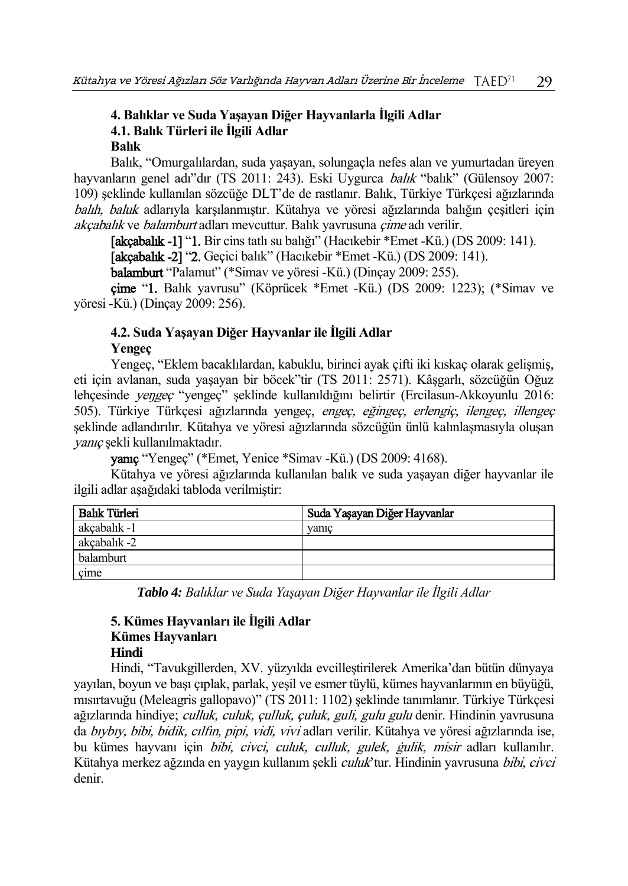# **4. Balıklar ve Suda Yaşayan Diğer Hayvanlarla İlgili Adlar 4.1. Balık Türleri ile İlgili Adlar**

## **Balık**

Balık, "Omurgalılardan, suda yaşayan, solungaçla nefes alan ve yumurtadan üreyen hayvanların genel adı"dır (TS 2011: 243). Eski Uygurca *balık* "balık" (Gülensoy 2007: 109) şeklinde kullanılan sözcüğe DLT'de de rastlanır. Balık, Türkiye Türkçesi ağızlarında balıh, baluk adlarıyla karşılanmıştır. Kütahya ve yöresi ağızlarında balığın cesitleri için akcabalık ve balamburt adları mevcuttur. Balık yavrusuna *çime* adı verilir.

[akçabalık -1] "1. Bir cins tatlı su balığı" (Hacıkebir \*Emet -Kü.) (DS 2009: 141).

[akçabalık -2] "2. Geçici balık" (Hacıkebir \*Emet -Kü.) (DS 2009: 141).

balamburt "Palamut" (\*Simav ve yöresi -Kü.) (Dinçay 2009: 255).

çime "1. Balık yavrusu" (Köprücek \*Emet -Kü.) (DS 2009: 1223); (\*Simav ve yöresi -Kü.) (Dinçay 2009: 256).

# **4.2. Suda Yaşayan Diğer Hayvanlar ile İlgili Adlar**

# **Yengeç**

Yengeç, "Eklem bacaklılardan, kabuklu, birinci ayak çifti iki kıskaç olarak gelişmiş, eti için avlanan, suda yaşayan bir böcek"tir (TS 2011: 2571). Kâşgarlı, sözcüğün Oğuz lehçesinde yeŋgeç "yengeç" şeklinde kullanıldığını belirtir (Ercilasun-Akkoyunlu 2016: 505). Türkiye Türkçesi ağızlarında yengeç, engeç, eğingeç, erlengiç, ilengeç, illengeç şeklinde adlandırılır. Kütahya ve yöresi ağızlarında sözcüğün ünlü kalınlaşmasıyla oluşan yanıç şekli kullanılmaktadır.

yanıç "Yengeç" (\*Emet, Yenice \*Simav -Kü.) (DS 2009: 4168).

Kütahya ve yöresi ağızlarında kullanılan balık ve suda yaşayan diğer hayvanlar ile ilgili adlar aşağıdaki tabloda verilmiştir:

| Balık Türleri | Suda Yaşayan Diğer Hayvanlar |
|---------------|------------------------------|
| akçabalık -1  | vanic                        |
| akcabalık -2  |                              |
| balamburt     |                              |
| cime          |                              |

*Tablo 4: Balıklar ve Suda Yaşayan Diğer Hayvanlar ile İlgili Adlar*

### **5. Kümes Hayvanları ile İlgili Adlar Kümes Hayvanları Hindi**

Hindi, "Tavukgillerden, XV. yüzyılda evcilleştirilerek Amerika'dan bütün dünyaya yayılan, boyun ve başı çıplak, parlak, yeşil ve esmer tüylü, kümes hayvanlarının en büyüğü, mısırtavuğu (Meleagris gallopavo)" (TS 2011: 1102) şeklinde tanımlanır. Türkiye Türkçesi ağızlarında hindiye; culluk, culuk, çulluk, çuluk, guli, gulu gulu denir. Hindinin yavrusuna da bıybıy, bibi, bidik, cılfın, pipi, vidi, vivi adları verilir. Kütahya ve yöresi ağızlarında ise, bu kümes hayvanı için *bibi, civci, culuk, culluk, gulek, gulik, misir* adları kullanılır. Kütahya merkez ağzında en yaygın kullanım şekli culuk'tur. Hindinin yavrusuna bibi, civci denir.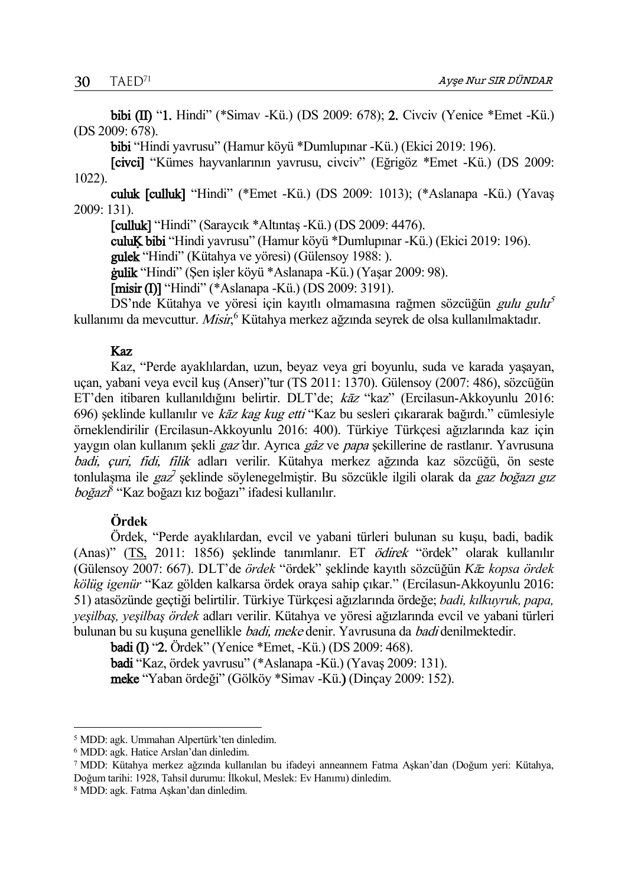bibi (II) "1. Hindi" (\*Simav -Kü.) (DS 2009: 678); 2. Civciv (Yenice \*Emet -Kü.) (DS 2009: 678).

bibi "Hindi yavrusu" (Hamur köyü \*Dumlupınar -Kü.) (Ekici 2019: 196).

[civci] "Kümes hayvanlarının yavrusu, civciv" (Eğrigöz \*Emet -Kü.) (DS 2009: 1022).

culuk [culluk] "Hindi" (\*Emet -Kü.) (DS 2009: 1013); (\*Aslanapa -Kü.) (Yavaş 2009: 131).

[culluk] "Hindi" (Saraycık \*Altıntaş -Kü.) (DS 2009: 4476).

culuĶ bibi "Hindi yavrusu" (Hamur köyü \*Dumlupınar -Kü.) (Ekici 2019: 196).

gulek "Hindi" (Kütahya ve yöresi) (Gülensoy 1988: ).

ġulik "Hindi" (Şen işler köyü \*Aslanapa -Kü.) (Yaşar 2009: 98).

[misir (I)] "Hindi" (\*Aslanapa -Kü.) (DS 2009: 3191).

DS'nde Kütahya ve yöresi için kayıtlı olmamasına rağmen sözcüğün *gulu gulu<sup>5</sup>* kullanımı da mevcuttur. *Misir*,<sup>6</sup> Kütahya merkez ağzında seyrek de olsa kullanılmaktadır.

### Kaz

Kaz, "Perde ayaklılardan, uzun, beyaz veya gri boyunlu, suda ve karada yaşayan, uçan, yabani veya evcil kuş (Anser)"tur (TS 2011: 1370). Gülensoy (2007: 486), sözcüğün ET'den itibaren kullanıldığını belirtir. DLT'de; kāz "kaz" (Ercilasun-Akkoyunlu 2016: 696) şeklinde kullanılır ve kāz kag kug etti "Kaz bu sesleri çıkararak bağırdı." cümlesiyle örneklendirilir (Ercilasun-Akkoyunlu 2016: 400). Türkiye Türkçesi ağızlarında kaz için yaygın olan kullanım şekli gaz'dır. Ayrıca gâz ve papa şekillerine de rastlanır. Yavrusuna badi, çuri, fidi, filik adları verilir. Kütahya merkez ağzında kaz sözcüğü, ön seste tonlulaşma ile *gaz*<sup>7</sup> şeklinde söylenegelmiştir. Bu sözcükle ilgili olarak da *gaz boğazı gız* boğazı<sup>8</sup> "Kaz boğazı kız boğazı" ifadesi kullanılır.

## **Ördek**

Ördek, "Perde ayaklılardan, evcil ve yabani türleri bulunan su kuşu, badi, badik (Anas)" [\(TS,](http://tdk.gov.tr/icerik/diger-icerikler/tumsozlukler) 2011: 1856) şeklinde tanımlanır. ET ödirek "ördek" olarak kullanılır (Gülensoy 2007: 667). DLT'de *ördek* "ördek" şeklinde kayıtlı sözcüğün *K*ā*z kopsa ördek kölüg igenür* "Kaz gölden kalkarsa ördek oraya sahip çıkar." (Ercilasun-Akkoyunlu 2016: 51) atasözünde geçtiği belirtilir. Türkiye Türkçesi ağızlarında ördeğe; *badi, kılkuyruk, papa, yeşilbaş, yeşilbaş ördek* adları verilir. Kütahya ve yöresi ağızlarında evcil ve yabani türleri bulunan bu su kuşuna genellikle badi, meke denir. Yavrusuna da badi denilmektedir.

badi (I) "2. Ördek" (Yenice \*Emet, -Kü.) (DS 2009: 468).

badi "Kaz, ördek yavrusu" (\*Aslanapa -Kü.) (Yavaş 2009: 131).

meke "Yaban ördeği" (Gölköy \*Simav -Kü.) (Dinçay 2009: 152).

 $\overline{a}$ 

<sup>5</sup> MDD: agk. Ummahan Alpertürk'ten dinledim.

<sup>6</sup> MDD: agk. Hatice Arslan'dan dinledim.

<sup>7</sup> MDD: Kütahya merkez ağzında kullanılan bu ifadeyi anneannem Fatma Aşkan'dan (Doğum yeri: Kütahya, Doğum tarihi: 1928, Tahsil durumu: İlkokul, Meslek: Ev Hanımı) dinledim.

<sup>8</sup> MDD: agk. Fatma Aşkan'dan dinledim.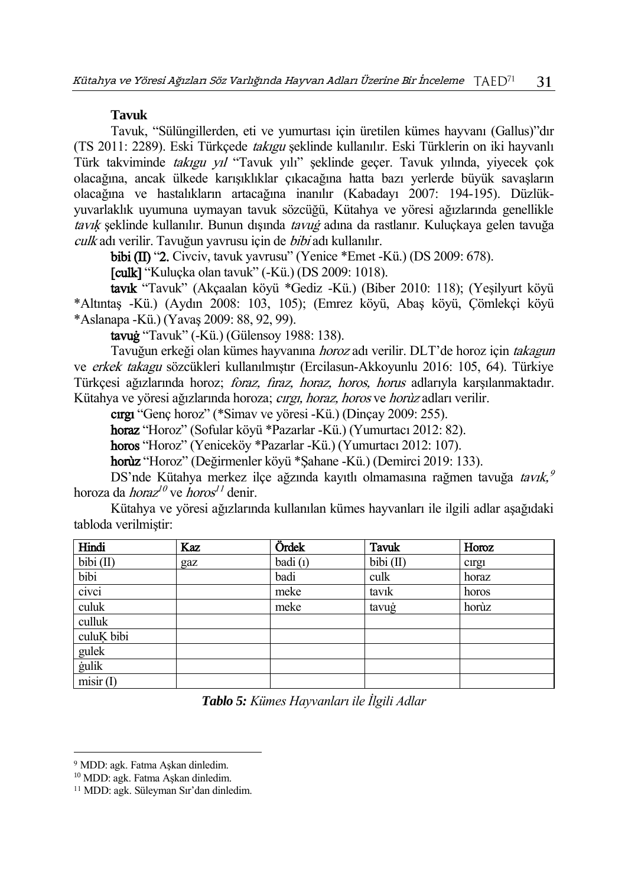### **Tavuk**

Tavuk, "Sülüngillerden, eti ve yumurtası için üretilen kümes hayvanı (Gallus)"dır (TS 2011: 2289). Eski Türkçede takıgu şeklinde kullanılır. Eski Türklerin on iki hayvanlı Türk takviminde takıgu yıl "Tavuk yılı" şeklinde geçer. Tavuk yılında, yiyecek çok olacağına, ancak ülkede karışıklıklar çıkacağına hatta bazı yerlerde büyük savaşların olacağına ve hastalıkların artacağına inanılır (Kabadayı 2007: 194-195). Düzlükyuvarlaklık uyumuna uymayan tavuk sözcüğü, Kütahya ve yöresi ağızlarında genellikle tavık seklinde kullanılır. Bunun dışında tavuğ adına da rastlanır. Kuluckaya gelen tavuğa culk adı verilir. Tavuğun yavrusu için de bibi adı kullanılır.

bibi (II) "2. Civciv, tavuk yavrusu" (Yenice \*Emet -Kü.) (DS 2009: 678).

[culk] "Kuluçka olan tavuk" (-Kü.) (DS 2009: 1018).

tavık "Tavuk" (Akçaalan köyü \*Gediz -Kü.) (Biber 2010: 118); (Yeşilyurt köyü \*Altıntaş -Kü.) (Aydın 2008: 103, 105); (Emrez köyü, Abaş köyü, Çömlekçi köyü \*Aslanapa -Kü.) (Yavaş 2009: 88, 92, 99).

tavuġ "Tavuk" (-Kü.) (Gülensoy 1988: 138).

Tavuğun erkeği olan kümes hayvanına *horoz* adı verilir. DLT'de horoz için takagun ve erkek takagu sözcükleri kullanılmıştır (Ercilasun-Akkoyunlu 2016: 105, 64). Türkiye Türkçesi ağızlarında horoz; *foraz, fıraz, horaz, horos, horus* adlarıyla karşılanmaktadır. Kütahya ve yöresi ağızlarında horoza; cırgı, horaz, horos ve horuz adları verilir.

cırgı "Genç horoz" (\*Simav ve yöresi -Kü.) (Dinçay 2009: 255).

horaz "Horoz" (Sofular köyü \*Pazarlar -Kü.) (Yumurtacı 2012: 82).

horos "Horoz" (Yeniceköy \*Pazarlar -Kü.) (Yumurtacı 2012: 107).

horùz "Horoz" (Değirmenler köyü \*Şahane -Kü.) (Demirci 2019: 133).

DS'nde Kütahya merkez ilçe ağzında kayıtlı olmamasına rağmen tavuğa *tavık, <sup>9</sup>* horoza da *horaz<sup>10</sup>* ve *horos<sup>11</sup>* denir.

Kütahya ve yöresi ağızlarında kullanılan kümes hayvanları ile ilgili adlar aşağıdaki tabloda verilmiştir:

| Hindi          | <b>Kaz</b> | Ördek   | <b>Tavuk</b> | Horoz |
|----------------|------------|---------|--------------|-------|
| bibi $(II)$    | gaz        | badi(1) | bibi (II)    | cirgi |
| bibi           |            | badi    | culk         | horaz |
| civci          |            | meke    | tavik        | horos |
| culuk          |            | meke    | tavuġ        | horùz |
| culluk         |            |         |              |       |
| culuĶ bibi     |            |         |              |       |
| gulek          |            |         |              |       |
| <i>i</i> gulik |            |         |              |       |
| misir(1)       |            |         |              |       |

*Tablo 5: Kümes Hayvanları ile İlgili Adlar*

 $\overline{a}$ 

<sup>9</sup> MDD: agk. Fatma Aşkan dinledim.

<sup>10</sup> MDD: agk. Fatma Aşkan dinledim.

<sup>11</sup> MDD: agk. Süleyman Sır'dan dinledim.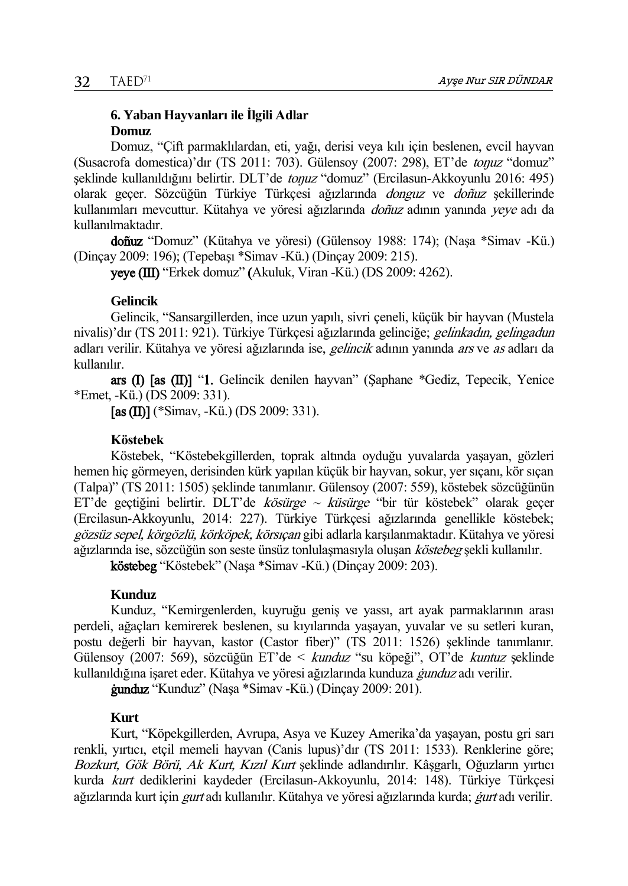# **6. Yaban Hayvanları ile İlgili Adlar Domuz**

Domuz, "Çift parmaklılardan, eti, yağı, derisi veya kılı için beslenen, evcil hayvan (Susacrofa domestica)'dır (TS 2011: 703). Gülensoy (2007: 298), ET'de toŋuz "domuz" şeklinde kullanıldığını belirtir. DLT'de toŋuz "domuz" (Ercilasun-Akkoyunlu 2016: 495) olarak geçer. Sözcüğün Türkiye Türkçesi ağızlarında donguz ve doñuz şekillerinde kullanımları mevcuttur. Kütahya ve yöresi ağızlarında *doñuz* adının yanında *yeye* adı da kullanılmaktadır.

doñuz "Domuz" (Kütahya ve yöresi) (Gülensoy 1988: 174); (Naşa \*Simav -Kü.) (Dinçay 2009: 196); (Tepebaşı \*Simav -Kü.) (Dinçay 2009: 215).

yeye (III) "Erkek domuz" (Akuluk, Viran -Kü.) (DS 2009: 4262).

### **Gelincik**

Gelincik, "Sansargillerden, ince uzun yapılı, sivri çeneli, küçük bir hayvan (Mustela nivalis)'dır (TS 2011: 921). Türkiye Türkcesi ağızlarında gelinciğe; *gelinkadın, gelingadun* adları verilir. Kütahya ve yöresi ağızlarında ise, gelincik adının yanında ars ve as adları da kullanılır.

ars (I) [as (II)] "1. Gelincik denilen hayvan" (Şaphane \*Gediz, Tepecik, Yenice \*Emet, -Kü.) (DS 2009: 331).

[as  $(II)$ ] (\*Simav, -Kü.) (DS 2009: 331).

### **Köstebek**

Köstebek, "Köstebekgillerden, toprak altında oyduğu yuvalarda yaşayan, gözleri hemen hiç görmeyen, derisinden kürk yapılan küçük bir hayvan, sokur, yer sıçanı, kör sıçan (Talpa)" (TS 2011: 1505) şeklinde tanımlanır. Gülensoy (2007: 559), köstebek sözcüğünün ET'de geçtiğini belirtir. DLT'de kösürge ~ küsürge "bir tür köstebek" olarak geçer (Ercilasun-Akkoyunlu, 2014: 227). Türkiye Türkçesi ağızlarında genellikle köstebek; gözsüz sepel, körgözlü, körköpek, körsıcan gibi adlarla karşılanmaktadır. Kütahya ve yöresi ağızlarında ise, sözcüğün son seste ünsüz tonlulaşmasıyla oluşan köstebeg şekli kullanılır.

köstebeg "Köstebek" (Naşa \*Simav -Kü.) (Dinçay 2009: 203).

## **Kunduz**

Kunduz, "Kemirgenlerden, kuyruğu geniş ve yassı, art ayak parmaklarının arası perdeli, ağaçları kemirerek beslenen, su kıyılarında yaşayan, yuvalar ve su setleri kuran, postu değerli bir hayvan, kastor (Castor fiber)" (TS 2011: 1526) şeklinde tanımlanır. Gülensoy (2007: 569), sözcüğün ET'de < kunduz "su köpeği", OT'de kuntuz şeklinde kullanıldığına işaret eder. Kütahya ve yöresi ağızlarında kunduza ġunduz adı verilir.

ġunduz "Kunduz" (Naşa \*Simav -Kü.) (Dinçay 2009: 201).

### **Kurt**

Kurt, "Köpekgillerden, Avrupa, Asya ve Kuzey Amerika'da yaşayan, postu gri sarı renkli, yırtıcı, etçil memeli hayvan (Canis lupus)'dır (TS 2011: 1533). Renklerine göre; Bozkurt, Gök Börü, Ak Kurt, Kızıl Kurt seklinde adlandırılır. Kâsgarlı, Oğuzların yırtıcı kurda kurt dediklerini kaydeder (Ercilasun-Akkoyunlu, 2014: 148). Türkiye Türkçesi ağızlarında kurt için *gurt* adı kullanılır. Kütahya ve yöresi ağızlarında kurda; *gurt* adı verilir.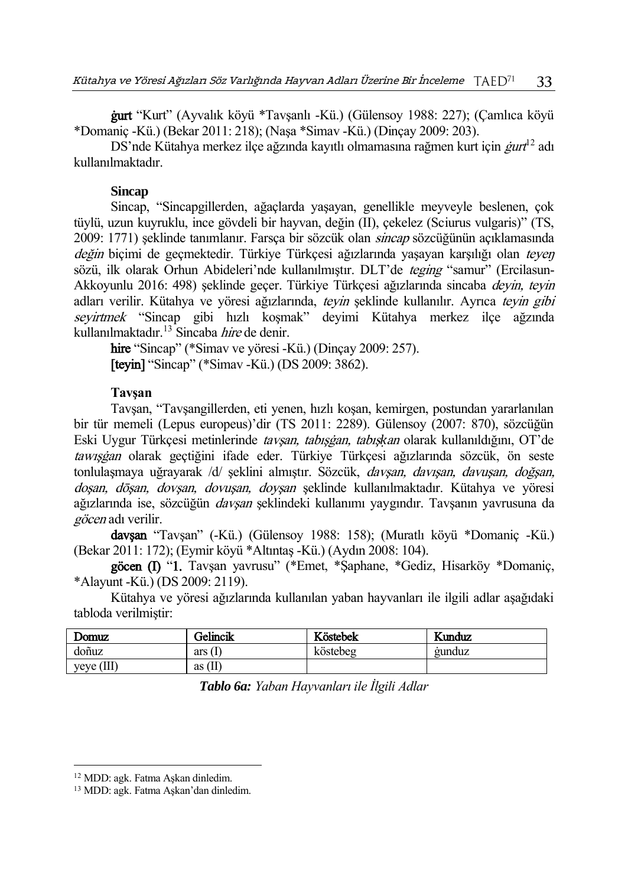ġurt "Kurt" (Ayvalık köyü \*Tavşanlı -Kü.) (Gülensoy 1988: 227); (Çamlıca köyü \*Domaniç -Kü.) (Bekar 2011: 218); (Naşa \*Simav -Kü.) (Dinçay 2009: 203).

DS'nde Kütahya merkez ilçe ağzında kayıtlı olmamasına rağmen kurt için  $\emph{gurt}^{\rm l2}$  adı kullanılmaktadır.

### **Sincap**

Sincap, "Sincapgillerden, ağaçlarda yaşayan, genellikle meyveyle beslenen, çok tüylü, uzun kuyruklu, ince gövdeli bir hayvan, değin (II), çekelez (Sciurus vulgaris)" (TS, 2009: 1771) şeklinde tanımlanır. Farsça bir sözcük olan *sincap* sözcüğünün açıklamasında değin biçimi de geçmektedir. Türkiye Türkçesi ağızlarında yaşayan karşılığı olan teyen sözü, ilk olarak Orhun Abideleri'nde kullanılmıştır. DLT'de *teging* "samur" (Ercilasun-Akkoyunlu 2016: 498) seklinde geçer. Türkiye Türkçesi ağızlarında sincaba *deyin, teyin* adları verilir. Kütahya ve yöresi ağızlarında, teyin şeklinde kullanılır. Ayrıca teyin gibi seyirtmek "Sincap gibi hızlı koşmak" deyimi Kütahya merkez ilçe ağzında kullanılmaktadır.<sup>13</sup> Sincaba *hire* de denir.

hire "Sincap" (\*Simav ve yöresi -Kü.) (Dinçay 2009: 257). [teyin] "Sincap" (\*Simav -Kü.) (DS 2009: 3862).

## **Tavşan**

Tavşan, "Tavşangillerden, eti yenen, hızlı koşan, kemirgen, postundan yararlanılan bir tür memeli (Lepus europeus)'dir (TS 2011: 2289). Gülensoy (2007: 870), sözcüğün Eski Uygur Türkçesi metinlerinde tavşan, tabışġan, tabış*ḳ*an olarak kullanıldığını, OT'de tawışġan olarak geçtiğini ifade eder. Türkiye Türkçesi ağızlarında sözcük, ön seste tonlulaşmaya uğrayarak /d/ şeklini almıştır. Sözcük, *davşan, davışan, davuşan, doğşan*, dosan, dōsan, dovsan, dovusan, dovsan şeklinde kullanılmaktadır. Kütahya ve yöresi ağızlarında ise, sözcüğün davşan şeklindeki kullanımı yaygındır. Tavşanın yavrusuna da göcen adı verilir.

davşan "Tavşan" (-Kü.) (Gülensoy 1988: 158); (Muratlı köyü \*Domaniç -Kü.) (Bekar 2011: 172); (Eymir köyü \*Altıntaş -Kü.) (Aydın 2008: 104).

göcen (I) "1. Tavşan yavrusu" (\*Emet, \*Şaphane, \*Gediz, Hisarköy \*Domaniç, \*Alayunt -Kü.) (DS 2009: 2119).

Kütahya ve yöresi ağızlarında kullanılan yaban hayvanları ile ilgili adlar aşağıdaki tabloda verilmiştir:

| Domuz        | Gelincik  | Köstebek | Kunduz |
|--------------|-----------|----------|--------|
| doñuz        | ars(      | köstebeg | gunduz |
| veve $(III)$ | as $(II)$ |          |        |

*Tablo 6a: Yaban Hayvanları ile İlgili Adlar*

 $\overline{a}$ 

<sup>12</sup> MDD: agk. Fatma Aşkan dinledim.

<sup>13</sup> MDD: agk. Fatma Aşkan'dan dinledim.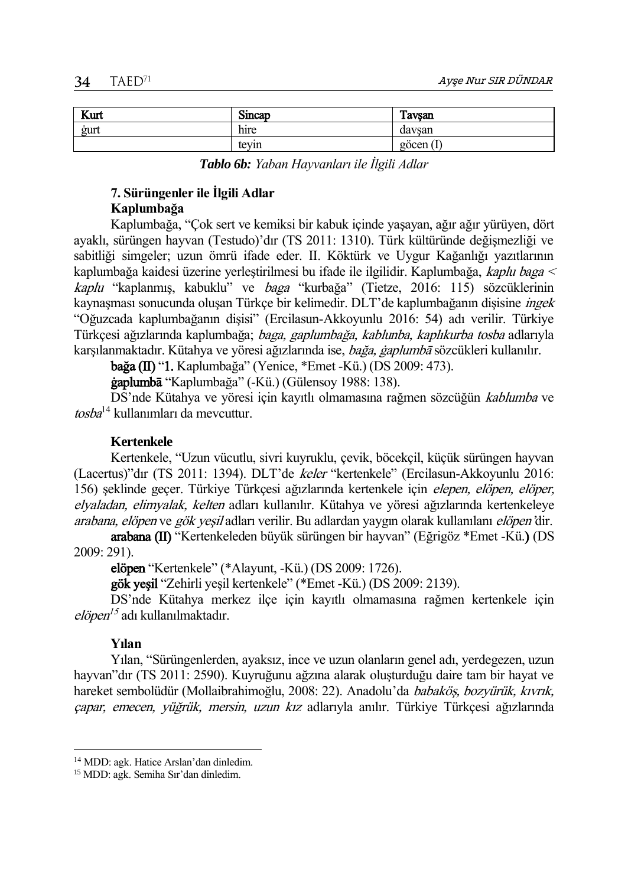| Kurt | Sincap          | Tavsan       |
|------|-----------------|--------------|
| gurt | $\cdot$<br>hire | davsan       |
|      | tevin           | göcen<br>1 L |

*Tablo 6b: Yaban Hayvanları ile İlgili Adlar*

# **7. Sürüngenler ile İlgili Adlar Kaplumbağa**

Kaplumbağa, "Çok sert ve kemiksi bir kabuk içinde yaşayan, ağır ağır yürüyen, dört ayaklı, sürüngen hayvan (Testudo)'dır (TS 2011: 1310). Türk kültüründe değişmezliği ve sabitliği simgeler; uzun ömrü ifade eder. II. Köktürk ve Uygur Kağanlığı yazıtlarının kaplumbağa kaidesi üzerine yerleştirilmesi bu ifade ile ilgilidir. Kaplumbağa, kaplu baga < kaplu "kaplanmış, kabuklu" ve baga "kurbağa" (Tietze, 2016: 115) sözcüklerinin kaynaşması sonucunda oluşan Türkçe bir kelimedir. DLT'de kaplumbağanın dişisine *ingek* "Oğuzcada kaplumbağanın dişisi" (Ercilasun-Akkoyunlu 2016: 54) adı verilir. Türkiye Türkçesi ağızlarında kaplumbağa; *baga, gaplumbağa, kablunba, kaplıkurba tosba* adlarıyla karşılanmaktadır. Kütahya ve yöresi ağızlarında ise, *bağa, gaplumbā* sözcükleri kullanılır.

bağa (II) "1. Kaplumbağa" (Yenice, \*Emet -Kü.) (DS 2009: 473).

ġaplumbā "Kaplumbağa" (-Kü.) (Gülensoy 1988: 138).

DS'nde Kütahya ve yöresi için kayıtlı olmamasına rağmen sözcüğün kablumba ve tosba<sup>14</sup> kullanımları da mevcuttur.

### **Kertenkele**

Kertenkele, "Uzun vücutlu, sivri kuyruklu, çevik, böcekçil, küçük sürüngen hayvan (Lacertus)"dır (TS 2011: 1394). DLT'de keler "kertenkele" (Ercilasun-Akkoyunlu 2016: 156) şeklinde geçer. Türkiye Türkçesi ağızlarında kertenkele için elepen, elöpen, elöper, elyaladan, elimyalak, kelten adları kullanılır. Kütahya ve yöresi ağızlarında kertenkeleye arabana, elöpen ve gök yeşil adları verilir. Bu adlardan yaygın olarak kullanılanı elöpen'dir.

arabana (II) "Kertenkeleden büyük sürüngen bir hayvan" (Eğrigöz \*Emet -Kü.) (DS 2009: 291).

elöpen "Kertenkele" (\*Alayunt, -Kü.) (DS 2009: 1726).

gök yeşil "Zehirli yeşil kertenkele" (\*Emet -Kü.) (DS 2009: 2139).

DS'nde Kütahya merkez ilçe için kayıtlı olmamasına rağmen kertenkele için *elöpen<sup>15</sup>* adı kullanılmaktadır.

### **Yılan**

 $\overline{a}$ 

Yılan, "Sürüngenlerden, ayaksız, ince ve uzun olanların genel adı, yerdegezen, uzun hayvan"dır (TS 2011: 2590). Kuyruğunu ağzına alarak oluşturduğu daire tam bir hayat ve hareket sembolüdür (Mollaibrahimoğlu, 2008: 22). Anadolu'da babaköş, bozyürük, kıvrık, çapar, emecen, yüğrük, mersin, uzun kız adlarıyla anılır. Türkiye Türkçesi ağızlarında

<sup>14</sup> MDD: agk. Hatice Arslan'dan dinledim.

<sup>15</sup> MDD: agk. Semiha Sır'dan dinledim.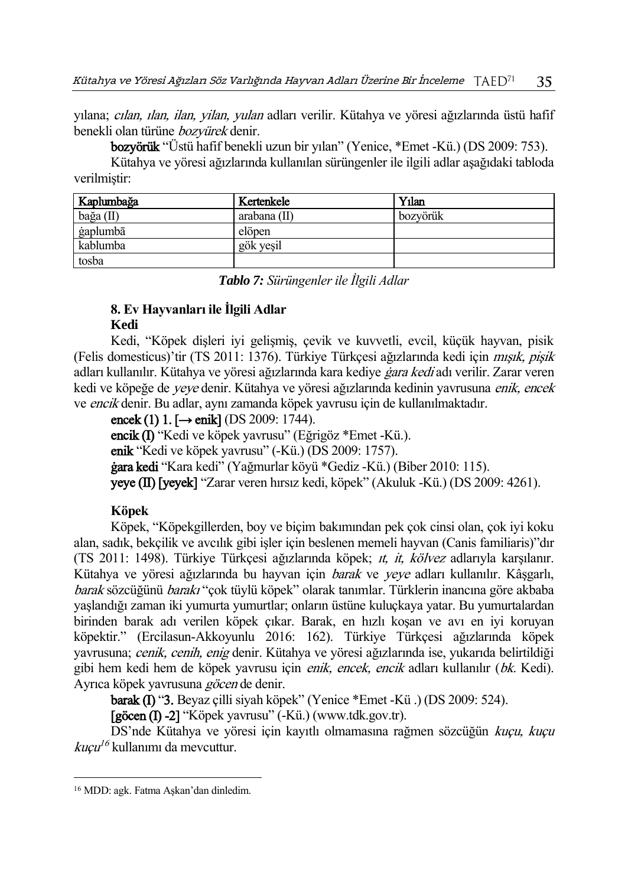yılana; cılan, ılan, ilan, yilan, yulan adları verilir. Kütahya ve yöresi ağızlarında üstü hafif benekli olan türüne bozyürek denir.

bozyörük "Üstü hafif benekli uzun bir yılan" (Yenice, \*Emet -Kü.) (DS 2009: 753).

Kütahya ve yöresi ağızlarında kullanılan sürüngenler ile ilgili adlar aşağıdaki tabloda verilmiştir:

| Kaplumbağa | Kertenkele     | Yılan    |
|------------|----------------|----------|
| bağa (II)  | arabana $(II)$ | bozvörük |
| gaplumbā   | elöpen         |          |
| kablumba   | gök vesil      |          |
| tosba      |                |          |

*Tablo 7: Sürüngenler ile İlgili Adlar*

# **8. Ev Hayvanları ile İlgili Adlar**

## **Kedi**

Kedi, "Köpek dişleri iyi gelişmiş, çevik ve kuvvetli, evcil, küçük hayvan, pisik (Felis domesticus)'tir (TS 2011: 1376). Türkiye Türkçesi ağızlarında kedi için mışık, pişik adları kullanılır. Kütahya ve yöresi ağızlarında kara kediye *gara kedi* adı verilir. Zarar veren kedi ve köpeğe de yeye denir. Kütahya ve yöresi ağızlarında kedinin yavrusuna enik, encek ve encik denir. Bu adlar, aynı zamanda köpek yavrusu için de kullanılmaktadır.

encek (1)  $1.$  [ $\rightarrow$  enik] (DS 2009: 1744). encik (I) "Kedi ve köpek yavrusu" (Eğrigöz \*Emet -Kü.). enik "Kedi ve köpek yavrusu" (-Kü.) (DS 2009: 1757). ġara kedi "Kara kedi" (Yağmurlar köyü \*Gediz -Kü.) (Biber 2010: 115). yeye (II) [yeyek] "Zarar veren hırsız kedi, köpek" (Akuluk -Kü.) (DS 2009: 4261).

# **Köpek**

Köpek, "Köpekgillerden, boy ve biçim bakımından pek çok cinsi olan, çok iyi koku alan, sadık, bekçilik ve avcılık gibi işler için beslenen memeli hayvan (Canis familiaris)"dır (TS 2011: 1498). Türkiye Türkçesi ağızlarında köpek; ıt, it, kölvez adlarıyla karşılanır. Kütahya ve yöresi ağızlarında bu hayvan için *barak* ve yeye adları kullanılır. Kâşgarlı, barak sözcüğünü barakı "çok tüylü köpek" olarak tanımlar. Türklerin inancına göre akbaba yaşlandığı zaman iki yumurta yumurtlar; onların üstüne kuluçkaya yatar. Bu yumurtalardan birinden barak adı verilen köpek çıkar. Barak, en hızlı koşan ve avı en iyi koruyan köpektir." (Ercilasun-Akkoyunlu 2016: 162). Türkiye Türkçesi ağızlarında köpek yavrusuna; *cenik, cenih, enig* denir. Kütahya ve yöresi ağızlarında ise, yukarıda belirtildiği gibi hem kedi hem de köpek yavrusu için enik, encek, encik adları kullanılır (bk. Kedi). Ayrıca köpek yayrusuna göcen de denir.

barak (I) "3. Beyaz çilli siyah köpek" (Yenice \*Emet -Kü .) (DS 2009: 524).

[göcen (I) -2] "Köpek yavrusu" (-Kü.) (www.tdk.gov.tr).

DS'nde Kütahya ve yöresi için kayıtlı olmamasına rağmen sözcüğün kuçu, kuçu *kuçu<sup>16</sup>* kullanımı da mevcuttur.

 $\overline{a}$ 

<sup>16</sup> MDD: agk. Fatma Aşkan'dan dinledim.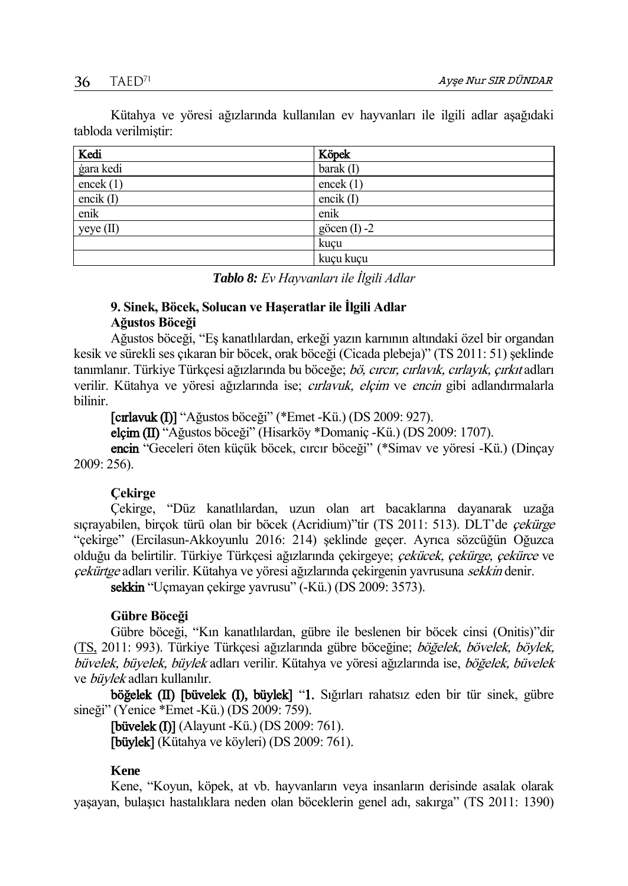Kütahya ve yöresi ağızlarında kullanılan ev hayvanları ile ilgili adlar aşağıdaki tabloda verilmiştir:

| Kedi        | Köpek          |
|-------------|----------------|
| ġara kedi   | barak $(I)$    |
| encek $(1)$ | encek $(1)$    |
| encik (I)   | encik $(I)$    |
| enik        | enik           |
| yeye(II)    | göcen $(I) -2$ |
|             | kuçu           |
|             | kuçu kuçu      |

*Tablo 8: Ev Hayvanları ile İlgili Adlar*

# **9. Sinek, Böcek, Solucan ve Haşeratlar ile İlgili Adlar Ağustos Böceği**

Ağustos böceği, "Eş kanatlılardan, erkeği yazın karnının altındaki özel bir organdan kesik ve sürekli ses çıkaran bir böcek, orak böceği (Cicada plebeja)" (TS 2011: 51) şeklinde tanımlanır. Türkiye Türkçesi ağızlarında bu böceğe; bö, cırcır, cırlavık, cırlayık, çırkıt adları verilir. Kütahya ve yöresi ağızlarında ise; *cırlavuk, elçim* ve encin gibi adlandırmalarla bilinir.

[cırlavuk (I)] "Ağustos böceği" (\*Emet -Kü.) (DS 2009: 927).

elçim (II) "Ağustos böceği" (Hisarköy \*Domaniç -Kü.) (DS 2009: 1707).

encin "Geceleri öten küçük böcek, cırcır böceği" (\*Simav ve yöresi -Kü.) (Dinçay 2009: 256).

# **Çekirge**

Çekirge, "Düz kanatlılardan, uzun olan art bacaklarına dayanarak uzağa sıçrayabilen, birçok türü olan bir böcek (Acridium)"tir (TS 2011: 513). DLT'de çekürge "çekirge" (Ercilasun-Akkoyunlu 2016: 214) şeklinde geçer. Ayrıca sözcüğün Oğuzca olduğu da belirtilir. Türkiye Türkçesi ağızlarında çekirgeye; *çekücek, çekürge, çekürce* ve cekürtge adları verilir. Kütahya ve yöresi ağızlarında çekirgenin yavrusuna sekkin denir.

sekkin "Uçmayan çekirge yavrusu" (-Kü.) (DS 2009: 3573).

# **Gübre Böceği**

Gübre böceği, "Kın kanatlılardan, gübre ile beslenen bir böcek cinsi (Onitis)"dir [\(TS,](http://tdk.gov.tr/icerik/diger-icerikler/tumsozlukler) 2011: 993). Türkiye Türkçesi ağızlarında gübre böceğine; böğelek, bövelek, böylek, büvelek, büyelek, büylek adları verilir. Kütahya ve yöresi ağızlarında ise, böğelek, büvelek ve büylek adları kullanılır.

böğelek (II) [büvelek (I), büylek] "1. Sığırları rahatsız eden bir tür sinek, gübre sineği" (Yenice \*Emet -Kü.) (DS 2009: 759).

[büvelek (I)] (Alayunt -Kü.) (DS 2009: 761). [büylek] (Kütahya ve köyleri) (DS 2009: 761).

# **Kene**

Kene, "Koyun, köpek, at vb. hayvanların veya insanların derisinde asalak olarak yaşayan, bulaşıcı hastalıklara neden olan böceklerin genel adı, sakırga" (TS 2011: 1390)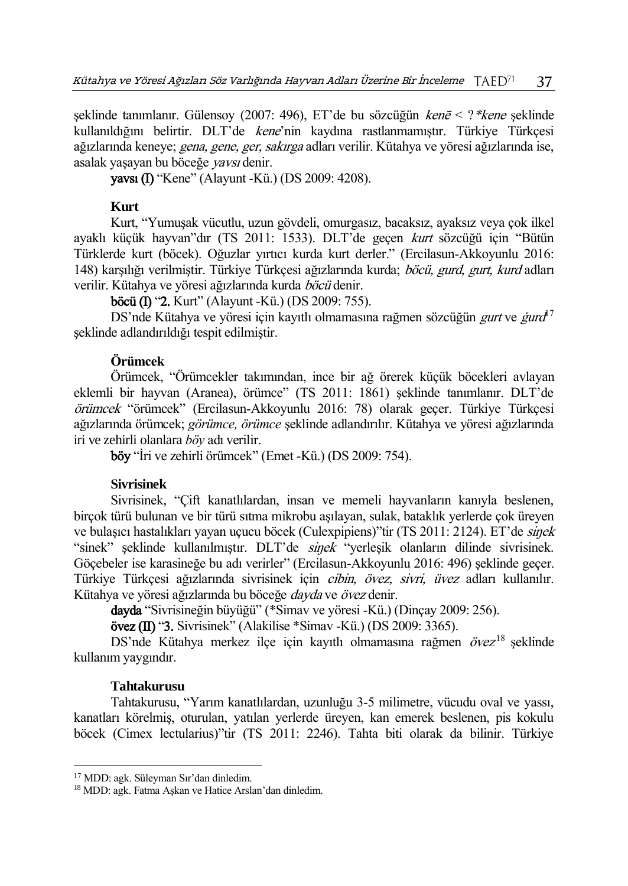seklinde tanımlanır. Gülensoy (2007: 496), ET'de bu sözcüğün ken $\bar{e}$  < ?\*kene şeklinde kullanıldığını belirtir. DLT'de kene'nin kaydına rastlanmamıştır. Türkiye Türkçesi ağızlarında keneye; *gena, gene, ger, sakırga* adları verilir. Kütahya ve yöresi ağızlarında ise, asalak yaşayan bu böceğe yavsı denir.

yavsı (I) "Kene" (Alayunt -Kü.) (DS 2009: 4208).

### **Kurt**

Kurt, "Yumuşak vücutlu, uzun gövdeli, omurgasız, bacaksız, ayaksız veya çok ilkel ayaklı küçük hayvan"dır (TS 2011: 1533). DLT'de geçen kurt sözcüğü için "Bütün Türklerde kurt (böcek). Oğuzlar yırtıcı kurda kurt derler." (Ercilasun-Akkoyunlu 2016: 148) karşılığı verilmiştir. Türkiye Türkçesi ağızlarında kurda; böcü, gurd, gurt, kurd adları verilir. Kütahya ve yöresi ağızlarında kurda böcü denir.

**böcü (I) "2.** Kurt" (Alayunt -Kü.) (DS 2009: 755).

DS'nde Kütahya ve yöresi için kayıtlı olmamasına rağmen sözcüğün *gurt* ve *ġurd*<sup>7</sup> şeklinde adlandırıldığı tespit edilmiştir.

## **Örümcek**

Örümcek, "Örümcekler takımından, ince bir ağ örerek küçük böcekleri avlayan eklemli bir hayvan (Aranea), örümce" (TS 2011: 1861) şeklinde tanımlanır. DLT'de örümcek "örümcek" (Ercilasun-Akkoyunlu 2016: 78) olarak geçer. Türkiye Türkçesi ağızlarında örümcek; *görümce, örümce* şeklinde adlandırılır. Kütahya ve yöresi ağızlarında iri ve zehirli olanlara *böy* adı verilir.

böy "İri ve zehirli örümcek" (Emet -Kü.) (DS 2009: 754).

### **Sivrisinek**

Sivrisinek, "Çift kanatlılardan, insan ve memeli hayvanların kanıyla beslenen, birçok türü bulunan ve bir türü sıtma mikrobu aşılayan, sulak, bataklık yerlerde çok üreyen ve bulasıcı hastalıkları vavan uçucu böcek (Culexpipiens)"tir (TS 2011: 2124). ET'de sinek "sinek" şeklinde kullanılmıştır. DLT'de sinek "yerleşik olanların dilinde sivrisinek. Göçebeler ise karasineğe bu adı verirler" (Ercilasun-Akkoyunlu 2016: 496) şeklinde geçer. Türkiye Türkçesi ağızlarında sivrisinek için cibin, övez, sivri, üvez adları kullanılır. Kütahya ve yöresi ağızlarında bu böceğe dayda ve övez denir.

dayda "Sivrisineğin büyüğü" (\*Simav ve yöresi -Kü.) (Dinçay 2009: 256).

övez (II) "3. Sivrisinek" (Alakilise \*Simav -Kü.) (DS 2009: 3365).

DS'nde Kütahya merkez ilçe için kayıtlı olmamasına rağmen övez<sup>18</sup> şeklinde kullanım yaygındır.

### **Tahtakurusu**

 $\overline{a}$ 

Tahtakurusu, "Yarım kanatlılardan, uzunluğu 3-5 milimetre, vücudu oval ve yassı, kanatları körelmiş, oturulan, yatılan yerlerde üreyen, kan emerek beslenen, pis kokulu böcek (Cimex lectularius)"tir (TS 2011: 2246). Tahta biti olarak da bilinir. Türkiye

<sup>17</sup> MDD: agk. Süleyman Sır'dan dinledim.

<sup>18</sup> MDD: agk. Fatma Aşkan ve Hatice Arslan'dan dinledim.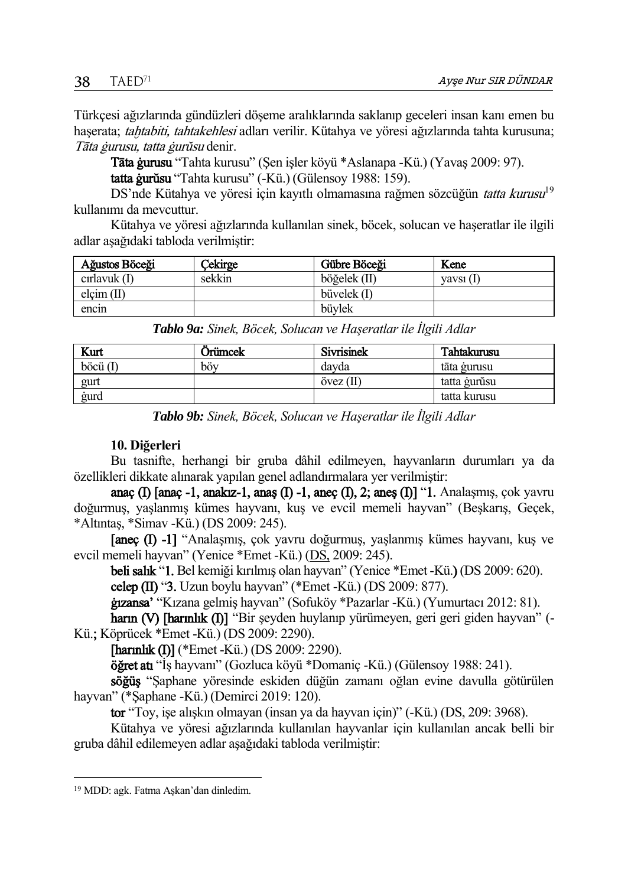Türkçesi ağızlarında gündüzleri döşeme aralıklarında saklanıp geceleri insan kanı emen bu haşerata; tahtabiti, tahtakehlesi adları verilir. Kütahya ve yöresi ağızlarında tahta kurusuna; Tāta ġurusu, tatta ġurŭsu denir.

Tāta ġurusu "Tahta kurusu" (Şen işler köyü \*Aslanapa -Kü.) (Yavaş 2009: 97).

tatta ġurŭsu "Tahta kurusu" (-Kü.) (Gülensoy 1988: 159).

DS'nde Kütahya ve yöresi için kayıtlı olmamasına rağmen sözcüğün *tatta kurusu*<sup>19</sup> kullanımı da mevcuttur.

Kütahya ve yöresi ağızlarında kullanılan sinek, böcek, solucan ve haşeratlar ile ilgili adlar aşağıdaki tabloda verilmiştir:

| Ağustos Böceği | Cekirge | Gübre Böceği  | Kene      |
|----------------|---------|---------------|-----------|
| cirlavuk $(I)$ | sekkin  | böğelek (II)  | vavsı (I) |
| $elcim$ (II)   |         | büvelek $(I)$ |           |
| encin          |         | büvlek        |           |

|  |  |  |  | Tablo 9a: Sinek, Böcek, Solucan ve Haşeratlar ile İlgili Adlar |
|--|--|--|--|----------------------------------------------------------------|
|--|--|--|--|----------------------------------------------------------------|

| Kurt                | Orümcek | <b>Sivrisinek</b> | Tahtakurusu  |
|---------------------|---------|-------------------|--------------|
| $\vec{b}$ ocü $(I)$ | böv     | davda             | tāta gurusu  |
| gurt                |         | $övez$ (II)       | tatta gurŭsu |
| gurd                |         |                   | tatta kurusu |

*Tablo 9b: Sinek, Böcek, Solucan ve Haşeratlar ile İlgili Adlar*

# **10. Diğerleri**

Bu tasnifte, herhangi bir gruba dâhil edilmeyen, hayvanların durumları ya da özellikleri dikkate alınarak yapılan genel adlandırmalara yer verilmiştir:

anaç (I)  $\lceil \text{anac -1}, \text{anakuz-1}, \text{anas (I) -1}, \text{anec (I), 2}; \text{anes (I)} \rceil$  "1. Analaşmış, çok yavru doğurmuş, yaşlanmış kümes hayvanı, kuş ve evcil memeli hayvan" (Beşkarış, Geçek, \*Altıntaş, \*Simav -Kü.) (DS 2009: 245).

[aneç (I) -1] "Analaşmış, çok yavru doğurmuş, yaşlanmış kümes hayvanı, kuş ve evcil memeli hayvan" (Yenice \*Emet -Kü.) [\(DS,](http://tdk.gov.tr/icerik/diger-icerikler/tumsozlukler) 2009: 245).

beli salık "1. Bel kemiği kırılmış olan hayvan" (Yenice \*Emet -Kü.) (DS 2009: 620). celep ( $I$ II) "3. Uzun boylu hayvan" (\*Emet -Kü.) (DS 2009: 877).

ġızansa' "Kızana gelmiş hayvan" (Sofuköy \*Pazarlar -Kü.) (Yumurtacı 2012: 81).

harın (V) [harınlık (I)] "Bir şeyden huylanıp yürümeyen, geri geri giden hayvan" (-Kü.; Köprücek \*Emet -Kü.) (DS 2009: 2290).

[harınlık (I)] (\*Emet -Kü.) (DS 2009: 2290).

öğret atı "İş hayvanı" (Gozluca köyü \*Domaniç -Kü.) (Gülensoy 1988: 241).

söğüş "Şaphane yöresinde eskiden düğün zamanı oğlan evine davulla götürülen hayvan" (\*Saphane -Kü.) (Demirci 2019: 120).

tor "Toy, işe alışkın olmayan (insan ya da hayvan için)" (-Kü.) (DS, 209: 3968).

Kütahya ve yöresi ağızlarında kullanılan hayvanlar için kullanılan ancak belli bir gruba dâhil edilemeyen adlar aşağıdaki tabloda verilmiştir:

 $\overline{a}$ 

<sup>19</sup> MDD: agk. Fatma Aşkan'dan dinledim.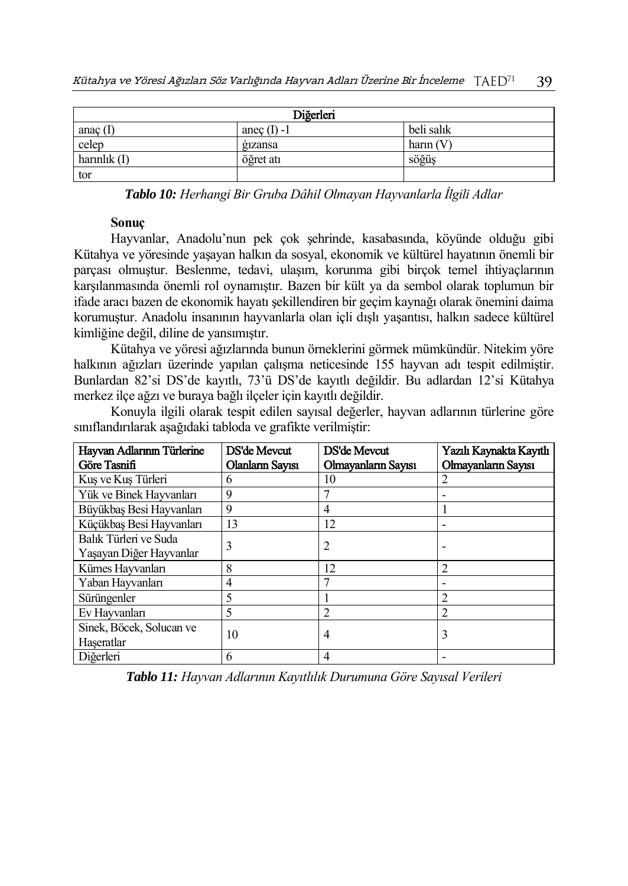| Diğerleri      |               |             |
|----------------|---------------|-------------|
| anaç $($ [     | anec $(I)$ -1 | beli salık  |
| celep          | gizansa       | harin $(V)$ |
| harinlik $(I)$ | öğret atı     | söğüş       |
| tor            |               |             |

*Tablo 10: Herhangi Bir Gruba Dâhil Olmayan Hayvanlarla İlgili Adlar*

## **Sonuç**

Hayvanlar, Anadolu'nun pek çok şehrinde, kasabasında, köyünde olduğu gibi Kütahya ve yöresinde yaşayan halkın da sosyal, ekonomik ve kültürel hayatının önemli bir parçası olmuştur. Beslenme, tedavi, ulaşım, korunma gibi birçok temel ihtiyaçlarının karşılanmasında önemli rol oynamıştır. Bazen bir kült ya da sembol olarak toplumun bir ifade aracı bazen de ekonomik hayatı şekillendiren bir geçim kaynağı olarak önemini daima korumuştur. Anadolu insanının hayvanlarla olan içli dışlı yaşantısı, halkın sadece kültürel kimliğine değil, diline de yansımıştır.

Kütahya ve yöresi ağızlarında bunun örneklerini görmek mümkündür. Nitekim yöre halkının ağızları üzerinde yapılan çalışma neticesinde 155 hayvan adı tespit edilmiştir. Bunlardan 82'si DS'de kayıtlı, 73'ü DS'de kayıtlı değildir. Bu adlardan 12'si Kütahya merkez ilçe ağzı ve buraya bağlı ilçeler için kayıtlı değildir.

Konuyla ilgili olarak tespit edilen sayısal değerler, hayvan adlarının türlerine göre sınıflandırılarak aşağıdaki tabloda ve grafikte verilmiştir:

| Hayvan Adlarının Türlerine<br>Göre Tasnifi       | DS'de Mevcut<br>Olanların Sayısı | DS'de Meycut<br>Olmayanların Sayısı | Yazılı Kaynakta Kayıtlı<br>Olmayanların Sayısı |
|--------------------------------------------------|----------------------------------|-------------------------------------|------------------------------------------------|
| Kuş ve Kuş Türleri                               | 6                                | 10                                  |                                                |
| Yük ve Binek Hayvanları                          | 9                                |                                     |                                                |
| Büyükbaş Besi Hayvanları                         | 9                                | 4                                   |                                                |
| Küçükbaş Besi Hayvanları                         | 13                               | 12                                  |                                                |
| Balık Türleri ve Suda<br>Yaşayan Diğer Hayvanlar | 3                                | 2                                   |                                                |
| Kümes Hayvanları                                 | 8                                | 12                                  |                                                |
| Yaban Hayvanları                                 | 4                                |                                     |                                                |
| Sürüngenler                                      | 5                                |                                     |                                                |
| Ev Hayvanları                                    | 5                                |                                     |                                                |
| Sinek, Böcek, Solucan ve<br>Haseratlar           | 10                               | 4                                   | 3                                              |
| Diğerleri                                        | 6                                | 4                                   |                                                |

*Tablo 11: Hayvan Adlarının Kayıtlılık Durumuna Göre Sayısal Verileri*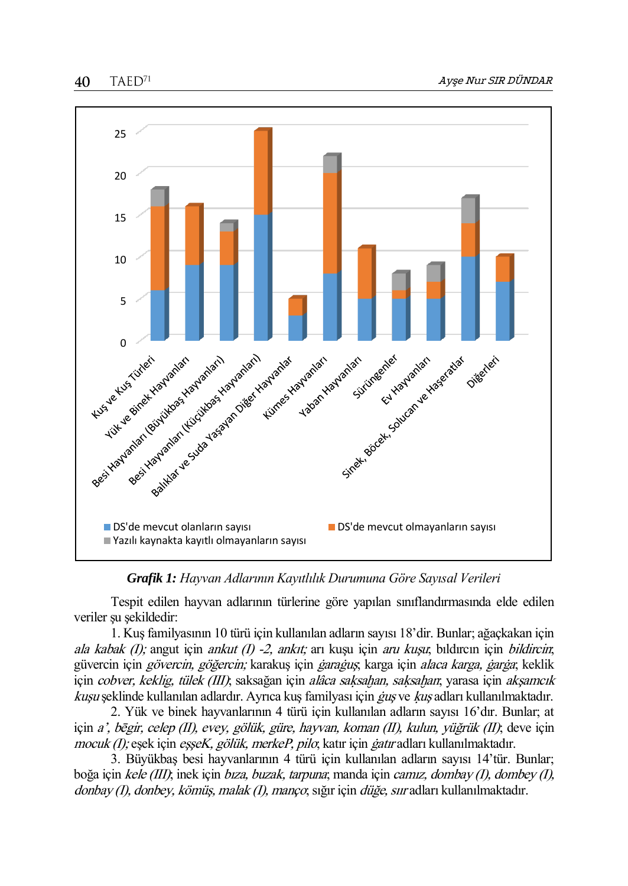40  $T A E D<sup>71</sup>$ 



*Grafik 1: Hayvan Adlarının Kayıtlılık Durumuna Göre Sayısal Verileri*

Tespit edilen hayvan adlarının türlerine göre yapılan sınıflandırmasında elde edilen veriler su sekildedir:

1. Kuş familyasının 10 türü için kullanılan adların sayısı 18'dir. Bunlar; ağaçkakan için ala kabak (I); angut için ankut (I) -2, ankıt; arı kuşu için aru kuşu; bıldırcın için bildircin; güvercin için *gövercin, göğercin;* karakuş için *ġarağuş*; karga için *alaca karga, ġarġa*; keklik için *cobver, keklig, tülek (III)*; saksağan için *alâca saksahan, saksahan*; yarasa için *akşamcık* kuşu şeklinde kullanılan adlardır. Ayrıca kuş familyası için ġuş ve ķuş adları kullanılmaktadır.

2. Yük ve binek hayvanlarının 4 türü için kullanılan adların sayısı 16'dır. Bunlar; at için a', bēgir, celep (II), evey, gölük, güre, hayvan, koman (II), kulun, yüğrük (II); deve için mocuk (I); eşek için eşşeK, gölük, merkeP, pilo; katır için ġatır adları kullanılmaktadır.

3. Büyükbaş besi hayvanlarının 4 türü için kullanılan adların sayısı 14'tür. Bunlar; boğa için kele (III); inek için bıza, buzak, tarpuna; manda için camız, dombay (I), dombey (I), donbay (I), donbey, kömüş, malak (I), manço; sığır için düğe, sıır adları kullanılmaktadır.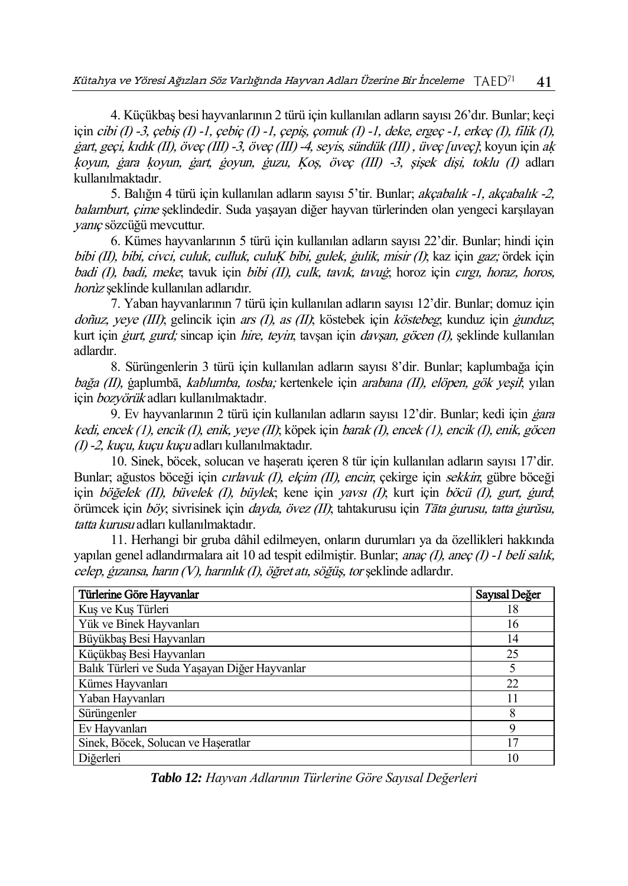4. Küçükbaş besi hayvanlarının 2 türü için kullanılan adların sayısı 26'dır. Bunlar; keçi için cibi (I) -3, çebiş (I) -1, çebiç (I) -1, çepiş, çomuk (I) -1, deke, ergeç -1, erkeç (I), filik (I), ġart, geçi, kıdık (II), öveç (III) -3, öveç (III) -4, seyis, sündük (III) , üveç [uveç]; koyun için aķ ķoyun, ġara ķoyun, ġart, ġoyun, ġuzu, Ķoş, öveç (III) -3, şişek dişi, toklu (I) adları kullanılmaktadır.

5. Balığın 4 türü için kullanılan adların sayısı 5'tir. Bunlar; *akçabalık -1, akçabalık -2,* balamburt, çime şeklindedir. Suda yaşayan diğer hayvan türlerinden olan yengeci karşılayan yanıç sözcüğü mevcuttur.

6. Kümes hayvanlarının 5 türü için kullanılan adların sayısı 22'dir. Bunlar; hindi için bibi (II), bibi, civci, culuk, culluk, culuĶ bibi, gulek, ġulik, misir (I); kaz için gaz; ördek için badi (I), badi, meke; tavuk için bibi (II), culk, tavık, tavuğ; horoz için cırgı, horaz, horos, horùz şeklinde kullanılan adlarıdır.

7. Yaban hayvanlarının 7 türü için kullanılan adların sayısı 12'dir. Bunlar; domuz için doñuz, yeve (III); gelincik için ars (I), as (II); köstebek için köstebeg; kunduz için *gunduz*; kurt için *gurt, gurd;* sincap için *hire, teyin*; taysan için *davşan, göcen (I)*, şeklinde kullanılan adlardır.

8. Sürüngenlerin 3 türü için kullanılan adların sayısı 8'dir. Bunlar; kaplumbağa için bağa (II), ġaplumbā, kablumba, tosba; kertenkele için arabana (II), elöpen, gök yeşil; yılan için bozyörük adları kullanılmaktadır.

9. Ev hayvanlarının 2 türü için kullanılan adların sayısı 12'dir. Bunlar; kedi için *gara* kedi, encek (1), encik (I), enik, yeye (II); köpek için barak (I), encek (1), encik (I), enik, göcen (I) -2, kuçu, kuçu kuçu adları kullanılmaktadır.

10. Sinek, böcek, solucan ve haşeratı içeren 8 tür için kullanılan adların sayısı 17'dir. Bunlar; ağustos böceği için *cırlavuk (I), elçim (II), encin*; çekirge için *sekkin*; gübre böceği için böğelek (II), büyelek (I), büylek; kene için yavsı (I); kurt için böcü (I), gurt, gurd; örümcek için böy; sivrisinek için dayda, övez (II); tahtakurusu için Tāta ġurusu, tatta ġurŭsu, tatta kurusu adları kullanılmaktadır.

11. Herhangi bir gruba dâhil edilmeyen, onların durumları ya da özellikleri hakkında yapılan genel adlandırmalara ait 10 ad tespit edilmiştir. Bunlar; anaç (I), aneç (I) -1 beli salık, celep, ġızansa, harın (V), harınlık (I), öğret atı, söğüş, tor şeklinde adlardır.

| Türlerine Göre Hayvanlar                      | Sayısal Değer |
|-----------------------------------------------|---------------|
| Kuş ve Kuş Türleri                            | 18            |
| Yük ve Binek Hayvanları                       | 16            |
| Büyükbaş Besi Hayvanları                      | 14            |
| Küçükbaş Besi Hayvanları                      | 25            |
| Balık Türleri ve Suda Yaşayan Diğer Hayvanlar | 5             |
| Kümes Hayvanları                              | 22            |
| Yaban Hayvanları                              | 11            |
| Sürüngenler                                   | 8             |
| Ev Hayvanları                                 | 9             |
| Sinek, Böcek, Solucan ve Haseratlar           | 17            |
| Diğerleri                                     | 10            |

*Tablo 12: Hayvan Adlarının Türlerine Göre Sayısal Değerleri*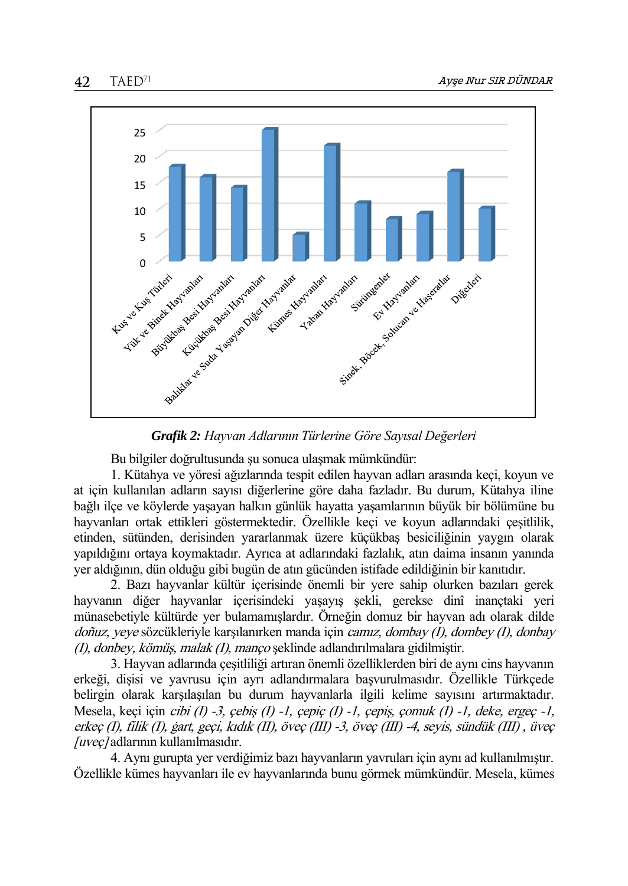

*Grafik 2: Hayvan Adlarının Türlerine Göre Sayısal Değerleri*

Bu bilgiler doğrultusunda şu sonuca ulaşmak mümkündür:

1. Kütahya ve yöresi ağızlarında tespit edilen hayvan adları arasında keçi, koyun ve at için kullanılan adların sayısı diğerlerine göre daha fazladır. Bu durum, Kütahya iline bağlı ilçe ve köylerde yaşayan halkın günlük hayatta yaşamlarının büyük bir bölümüne bu hayvanları ortak ettikleri göstermektedir. Özellikle keçi ve koyun adlarındaki çeşitlilik, etinden, sütünden, derisinden yararlanmak üzere küçükbaş besiciliğinin yaygın olarak yapıldığını ortaya koymaktadır. Ayrıca at adlarındaki fazlalık, atın daima insanın yanında yer aldığının, dün olduğu gibi bugün de atın gücünden istifade edildiğinin bir kanıtıdır.

2. Bazı hayvanlar kültür içerisinde önemli bir yere sahip olurken bazıları gerek hayvanın diğer hayvanlar içerisindeki yaşayış şekli, gerekse dinî inançtaki yeri münasebetiyle kültürde yer bulamamışlardır. Örneğin domuz bir hayvan adı olarak dilde doñuz, yeye sözcükleriyle karşılanırken manda için camız, dombay (I), dombey (I), donbay (I), donbey, kömüş, malak (I), manço şeklinde adlandırılmalara gidilmiştir.

3. Hayvan adlarında çeşitliliği artıran önemli özelliklerden biri de aynı cins hayvanın erkeği, dişisi ve yavrusu için ayrı adlandırmalara başvurulmasıdır. Özellikle Türkçede belirgin olarak karşılaşılan bu durum hayvanlarla ilgili kelime sayısını artırmaktadır. Mesela, keçi için cibi (I) -3, çebiş (I) -1, çepiç (I) -1, çepiş, çomuk (I) -1, deke, ergeç -1, erkeç (I), filik (I), ġart, geçi, kıdık (II), öveç (III) -3, öveç (III) -4, seyis, sündük (III) , üveç [uveç] adlarının kullanılmasıdır.

4. Aynı gurupta yer verdiğimiz bazı hayvanların yavruları için aynı ad kullanılmıştır. Özellikle kümes hayvanları ile ev hayvanlarında bunu görmek mümkündür. Mesela, kümes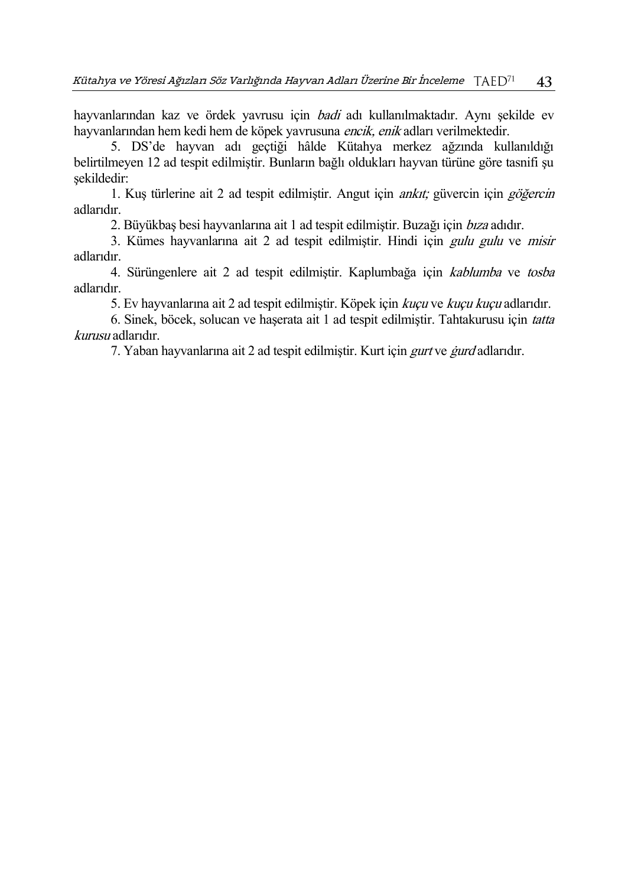hayvanlarından kaz ve ördek yavrusu için badi adı kullanılmaktadır. Aynı şekilde ev hayvanlarından hem kedi hem de köpek yavrusuna encik, enik adları verilmektedir.

5. DS'de hayvan adı geçtiği hâlde Kütahya merkez ağzında kullanıldığı belirtilmeyen 12 ad tespit edilmiştir. Bunların bağlı oldukları hayvan türüne göre tasnifi şu şekildedir:

1. Kuş türlerine ait 2 ad tespit edilmiştir. Angut için ankıt; güvercin için göğercin adlarıdır.

2. Büyükbas besi hayvanlarına ait 1 ad tespit edilmiştir. Buzağı için *bıza* adıdır.

3. Kümes hayvanlarına ait 2 ad tespit edilmiştir. Hindi için gulu gulu ve misir adlarıdır.

4. Sürüngenlere ait 2 ad tespit edilmiştir. Kaplumbağa için kablumba ve tosba adlarıdır.

5. Ev hayvanlarına ait 2 ad tespit edilmiştir. Köpek için kuçu ve kuçu kuçu adlarıdır.

6. Sinek, böcek, solucan ve haşerata ait 1 ad tespit edilmiştir. Tahtakurusu için tatta kurusu adlarıdır.

7. Yaban hayvanlarına ait 2 ad tespit edilmiştir. Kurt için *gurt* ve *gurd* adlarıdır.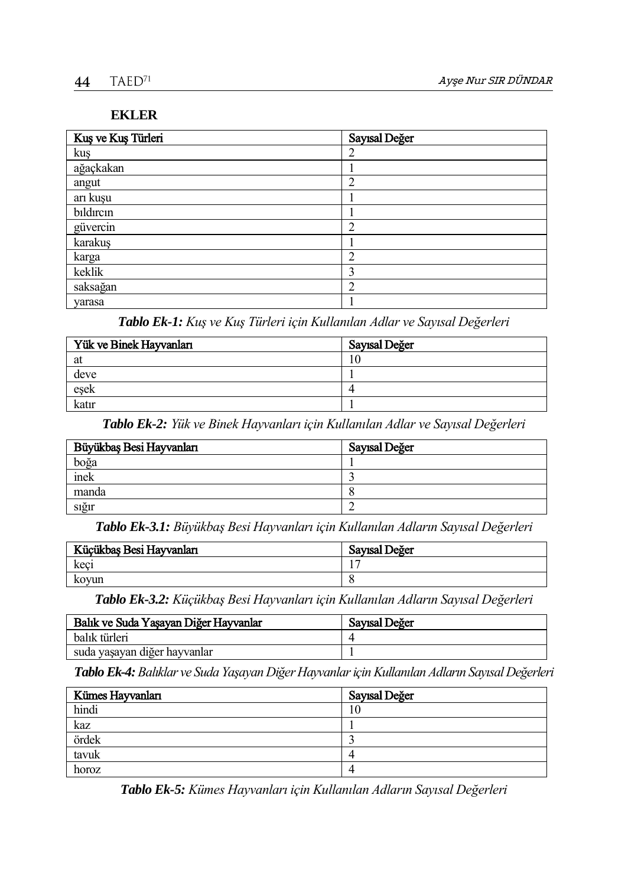# **EKLER**

| Kuş ve Kuş Türleri | Sayısal Değer  |
|--------------------|----------------|
| kuş                | 2              |
| ağaçkakan          |                |
| angut              | $\overline{2}$ |
| arı kuşu           |                |
| bildircin          |                |
| güvercin           | 2              |
| karakuş            |                |
| karga              | ◠              |
| keklik             | 3              |
| saksağan           | າ              |
| yarasa             |                |

*Tablo Ek-1: Kuş ve Kuş Türleri için Kullanılan Adlar ve Sayısal Değerleri*

| Yük ve Binek Hayvanları | Sayısal Değer |
|-------------------------|---------------|
| at                      |               |
| deve                    |               |
| eşek                    |               |
| katır                   |               |

*Tablo Ek-2: Yük ve Binek Hayvanları için Kullanılan Adlar ve Sayısal Değerleri*

| Büyükbaş Besi Hayvanları | Sayısal Değer |
|--------------------------|---------------|
| boğa                     |               |
| inek                     |               |
| manda                    |               |
| sığır                    |               |

*Tablo Ek-3.1: Büyükbaş Besi Hayvanları için Kullanılan Adların Sayısal Değerleri*

| Küçükbaş Besi Hayvanları | Sayısal Değer |
|--------------------------|---------------|
| keci                     |               |
| koyun                    |               |

*Tablo Ek-3.2: Küçükbaş Besi Hayvanları için Kullanılan Adların Sayısal Değerleri*

| Balık ve Suda Yaşayan Diğer Hayvanlar | Sayısal Değer |
|---------------------------------------|---------------|
| balık türleri                         |               |
| suda yaşayan diğer hayvanlar          |               |

*Tablo Ek-4:Balıklar ve Suda Yaşayan Diğer Hayvanlar için Kullanılan Adların SayısalDeğerleri*

| Kümes Hayvanları | Sayısal Değer |
|------------------|---------------|
| hindi            | 0             |
| kaz              |               |
| ördek            |               |
| tavuk            |               |
| horoz            |               |

*Tablo Ek-5: Kümes Hayvanları için Kullanılan Adların Sayısal Değerleri*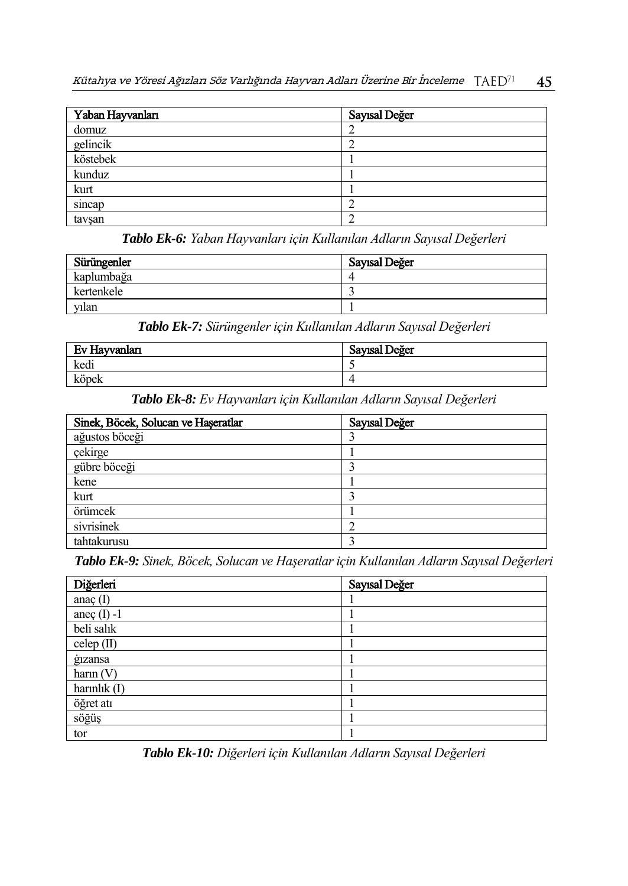| Yaban Hayvanları | Sayısal Değer |
|------------------|---------------|
| domuz            |               |
| gelincik         |               |
| köstebek         |               |
| kunduz           |               |
| kurt             |               |
| sincap           |               |
| tavşan           |               |

*Tablo Ek-6: Yaban Hayvanları için Kullanılan Adların Sayısal Değerleri*

| Sürüngenler | Sayısal Değer |
|-------------|---------------|
| kaplumbağa  |               |
| kertenkele  |               |
| vılan       |               |

*Tablo Ek-7: Sürüngenler için Kullanılan Adların Sayısal Değerleri*

| Ev Hayvanları | Sayısal Değer |
|---------------|---------------|
| kedi          |               |
| köpek         |               |

*Tablo Ek-8: Ev Hayvanları için Kullanılan Adların Sayısal Değerleri*

| Sinek, Böcek, Solucan ve Haşeratlar | Sayısal Değer |
|-------------------------------------|---------------|
| ağustos böceği                      |               |
| çekirge                             |               |
| gübre böceği                        |               |
| kene                                |               |
| kurt                                |               |
| örümcek                             |               |
| sivrisinek                          |               |
| tahtakurusu                         |               |

*Tablo Ek-9: Sinek, Böcek, Solucan ve Haşeratlar için Kullanılan Adların Sayısal Değerleri*

| Diğerleri       | Sayısal Değer |
|-----------------|---------------|
| anaç $(I)$      |               |
| aneç $(I)$ -1   |               |
| beli salık      |               |
| celep(II)       |               |
| <i>g</i> izansa |               |
| harn(V)         |               |
| harinlik $(I)$  |               |
| öğret atı       |               |
| söğüş           |               |
| tor             |               |

*Tablo Ek-10: Diğerleri için Kullanılan Adların Sayısal Değerleri*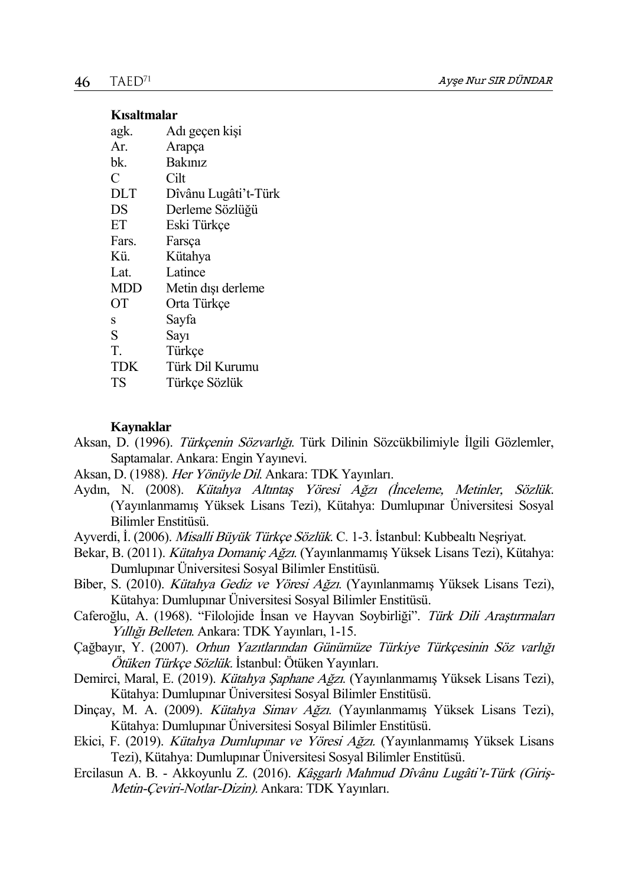### **Kısaltmalar**

| agk.       | Adı geçen kişi       |
|------------|----------------------|
| Ar.        | Arapça               |
| bk.        | Bakınız              |
| C          | Cilt                 |
| DLT        | Dîvânu Lugâti't-Türk |
| DS         | Derleme Sözlüğü      |
| ET         | Eski Türkçe          |
| Fars.      | Farsca               |
| Kü.        | Kütahya              |
| Lat.       | Latince              |
| <b>MDD</b> | Metin dışı derleme   |
| ОT         | Orta Türkçe          |
| S          | Sayfa                |
| S          | Sayı                 |
| T.         | Türkçe               |
| <b>TDK</b> | Türk Dil Kurumu      |
| TS         | Türkçe Sözlük        |

### **Kaynaklar**

- Aksan, D. (1996). Türkçenin Sözvarlığı. Türk Dilinin Sözcükbilimiyle İlgili Gözlemler, Saptamalar. Ankara: Engin Yayınevi.
- Aksan, D. (1988). Her Yönüyle Dil. Ankara: TDK Yayınları.
- Aydın, N. (2008). Kütahya Altıntaş Yöresi Ağzı (İnceleme, Metinler, Sözlük. (Yayınlanmamış Yüksek Lisans Tezi), Kütahya: Dumlupınar Üniversitesi Sosyal Bilimler Enstitüsü.
- Ayverdi, İ. (2006). Misalli Büyük Türkçe Sözlük. C. 1-3. İstanbul: Kubbealtı Neşriyat.
- Bekar, B. (2011). Kütahya Domaniç Ağzı. (Yayınlanmamış Yüksek Lisans Tezi), Kütahya: Dumlupınar Üniversitesi Sosyal Bilimler Enstitüsü.
- Biber, S. (2010). Kütahya Gediz ve Yöresi Ağzı. (Yayınlanmamış Yüksek Lisans Tezi), Kütahya: Dumlupınar Üniversitesi Sosyal Bilimler Enstitüsü.
- Caferoğlu, A. (1968). "Filolojide İnsan ve Hayvan Soybirliği". Türk Dili Araştırmaları Yıllığı Belleten. Ankara: TDK Yayınları, 1-15.
- Çağbayır, Y. (2007). Orhun Yazıtlarından Günümüze Türkiye Türkçesinin Söz varlığı Ötüken Türkçe Sözlük. İstanbul: Ötüken Yayınları.
- Demirci, Maral, E. (2019). Kütahya Şaphane Ağzı. (Yayınlanmamış Yüksek Lisans Tezi), Kütahya: Dumlupınar Üniversitesi Sosyal Bilimler Enstitüsü.
- Dinçay, M. A. (2009). Kütahya Simav Ağzı. (Yayınlanmamış Yüksek Lisans Tezi), Kütahya: Dumlupınar Üniversitesi Sosyal Bilimler Enstitüsü.
- Ekici, F. (2019). Kütahya Dumlupınar ve Yöresi Ağzı. (Yayınlanmamış Yüksek Lisans Tezi), Kütahya: Dumlupınar Üniversitesi Sosyal Bilimler Enstitüsü.
- Ercilasun A. B. Akkoyunlu Z. (2016). Kâşgarlı Mahmud Dîvânu Lugâti't-Türk (Giriş-Metin-Çeviri-Notlar-Dizin). Ankara: TDK Yayınları.